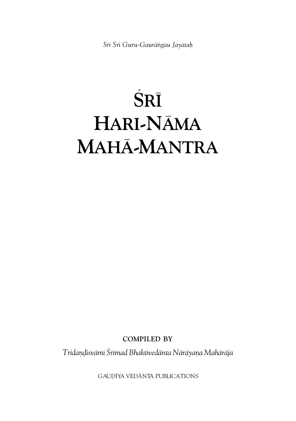*Çré Çré Guru-Gauräìgau Jayataù*

# $\overline{\text{SRI}}$ **HARI-NÄMA MAHÄ-MANTRA**

**COMPILED BY**

*Tridaëòisvämé Çrémad Bhaktivedänta Näräyaëa Mahäräja*

GAUDĪYA VEDĀNTA PUBLICATIONS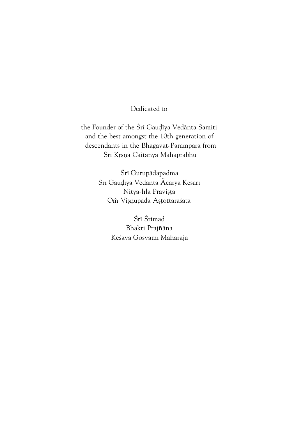#### Dedicated to

the Founder of the Śrī Gaudīya Vedānta Samiti and the best amongst the 10th generation of descendants in the Bhägavat-Paramparä from Śrī Krsna Caitanya Mahāprabhu

> Śrī Gurupādapadma Śrī Gaudīya Vedānta Ãcārya Kesarī Nitya-līlā Pravișța Om Vișņupāda Așțottarasata

> > Śrī Śrīmad Bhakti Prajñāna Keśava Gosvāmī Mahārāja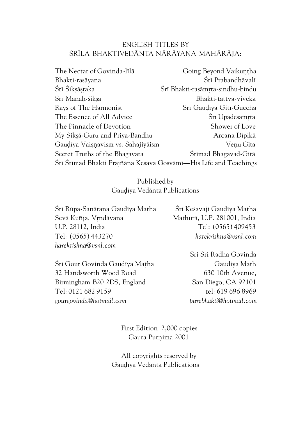#### ENGLISH TITLES BY ŚRĪLA BHAKTIVEDĀNTA NĀRĀYAŅA MAHĀRĀJA:

| The Nectar of Govinda-līlā                                       | Going Beyond Vaikuntha           |
|------------------------------------------------------------------|----------------------------------|
| Bhakti-rasāyana                                                  | Šrī Prabandhāvalī                |
| Šrī Šikṣāṣṭaka                                                   | Šrī Bhakti-rasāmrta-sindhu-bindu |
| Śrī Manaḥ-śikṣā                                                  | Bhakti-tattva-viveka             |
| Rays of The Harmonist                                            | Srī Gaudīya Gitī-Guccha          |
| The Essence of All Advice                                        | Srī Upadeśāmrta                  |
| The Pinnacle of Devotion                                         | Shower of Love                   |
| My Sikṣā-Guru and Priya-Bandhu                                   | Arcana Dīpikā                    |
| Gaudīya Vaisņavism vs. Sahajiyāism                               | Veņu Gīta                        |
| Secret Truths of the Bhagavata                                   | Srīmad Bhagavad-Gītā             |
| Šrī Šrīmad Bhakti Prajñāna Keśava Gosvāmī—His Life and Teachings |                                  |

#### Published by Gaudīya Vedānta Publications

| Śrī Rūpa-Sanātana Gaudīya Matha | Śrī Keśavajī Gaudīya Matha  |
|---------------------------------|-----------------------------|
| Sevā Kuñja, Vrndāvana           | Mathurā, U.P. 281001, India |
| U.P. 28112. India               | Tel: (0565) 409453          |
| Tel: (0565) 443270              | harekrishna@vsnl.com        |
| harekrishna@vsnl.com            |                             |
|                                 | Sri Sri Radha Govinda       |

Śrī Gour Govinda Gaudīya Matha 32 Handsworth Wood Road Birmingham B20 2DS, England Tel: 0121 682 9159 *gourgovinda@hotmail.com*

Sri Sri Radha Govinda Gaudiya Math 630 10th Avenue, San Diego, CA 92101 tel: 619 696 8969 *purebhakti@hotmail.com*

First Edition 2,000 copies Gaura Purnima 2001

All copyrights reserved by Gauḍīya Vedānta Publications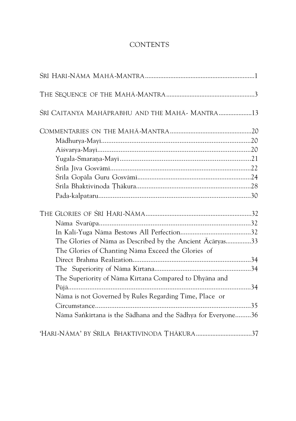#### **CONTENTS**

| SRĪ CAITANYA MAHĀPRABHU AND THE MAHĀ - MANTRA13              |  |
|--------------------------------------------------------------|--|
|                                                              |  |
|                                                              |  |
|                                                              |  |
|                                                              |  |
|                                                              |  |
|                                                              |  |
|                                                              |  |
|                                                              |  |
|                                                              |  |
|                                                              |  |
|                                                              |  |
| The Glories of Nāma as Described by the Ancient Ācāryas33    |  |
| The Glories of Chanting Nāma Exceed the Glories of           |  |
|                                                              |  |
|                                                              |  |
| The Superiority of Nāma Kīrtana Compared to Dhyāna and       |  |
|                                                              |  |
| Nāma is not Governed by Rules Regarding Time, Place or       |  |
|                                                              |  |
| Nāma Sankīrtana is the Sādhana and the Sādhya for Everyone36 |  |
| 'HARI-NĀMA' BY ŚRĪLA BHAKTIVINODA THĀKURA37                  |  |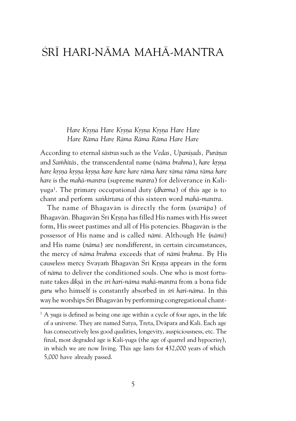### ÇRÉ HARI-NÄMA MAHÄ-MANTRA

*Hare Kåñëa Hare Kåñëa Kåñëa Kåñëa Hare Hare Hare Räma Hare Räma Räma Räma Hare Hare*

According to eternal *śāstras* such as the *Vedas*, *Upanisads*, Purāņas and Samhitās, the transcendental name (nāma brahma), hare krsņa *hare kåñëa kåñëa kåñëa hare hare hare räma hare räma räma räma hare hare* is the *mahä-mantra* (supreme *mantra*) for deliverance in Kaliyuga<sup>1</sup> . The primary occupational duty (*dharma*) of this age is to chant and perform *saìkértana* of this sixteen word *mahä-mantra.*

The name of Bhagavän is directly the form (*svarüpa* ) of Bhagavān. Bhagavān Śrī Krsna has filled His names with His sweet form, His sweet pastimes and all of His potencies. Bhagavän is the possessor of His name and is called *nämé.* Although He (*nämé*) and His name (*näma*) are nondifferent, in certain circumstances, the mercy of *näma brahma* exceeds that of *nämé brahma*. By His causeless mercy Svayam Bhagavān Šrī Krsna appears in the form of *näma* to deliver the conditioned souls. One who is most fortunate takes *dékñä* in the *çré hari-näma mahä-mantra* from a bona fide *guru* who himself is constantly absorbed in *çré hari-näma*. In this way he worships Śrī Bhagavān by performing congregational chant-

<sup>&</sup>lt;sup>1</sup> A yuga is defined as being one age within a cycle of four ages, in the life of a universe. They are named Satya, Treta, Dväpara and Kali. Each age has consecutively less good qualities, longevity, auspiciousness, etc. The final, most degraded age is Kali-yuga (the age of quarrel and hypocrisy), in which we are now living. This age lasts for 432,000 years of which 5,000 have already passed.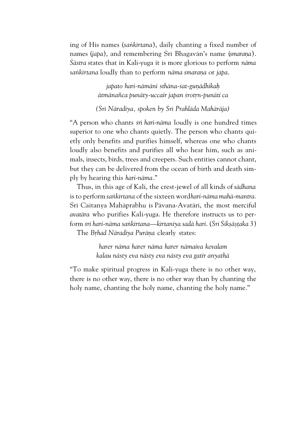ing of His names (*saìkértana*), daily chanting a fixed number of names (*japa*), and remembering Sri Bhagavān's name (*smarana*). *Çästra* states that in Kali*-*yuga it is more glorious to perform *näma* sankirtana loudly than to perform nāma smarana or *japa*.

> *japato hari-nämäni sthäna-çat-guëädhikaù ätmänaïca punäty-uccair japan çrotån-punäti ca*

*(Çré Näradéya, spoken by Çré Prahläda Mahäräja)*

"A person who chants *çré hari-näma* loudly is one hundred times superior to one who chants quietly. The person who chants quietly only benefits and purifies himself, whereas one who chants loudly also benefits and purifies all who hear him, such as animals, insects, birds, trees and creepers. Such entities cannot chant, but they can be delivered from the ocean of birth and death simply by hearing this *hari-näma*."

Thus, in this age of Kali, the crest-jewel of all kinds of *sädhana* is to perform *saìkértana* of the sixteen word *hari-näma mahä-mantra.* Śrī Caitanya Mahāprabhu is Pāvana-Avatārī, the most merciful *avatära* who purifies Kali*-*yuga. He therefore instructs us to perform *çré hari-näma saìkértana—kértanéya sadä hari*. (*Çré Çikñäñöaka* 3)

The *Brhad Nāradīya Purāna* clearly states:

*harer näma harer näma harer nämaiva kevalam kalau nästy eva nästy eva nästy eva gatir anyathä*

"To make spiritual progress in Kali-yuga there is no other way, there is no other way, there is no other way than by chanting the holy name, chanting the holy name, chanting the holy name."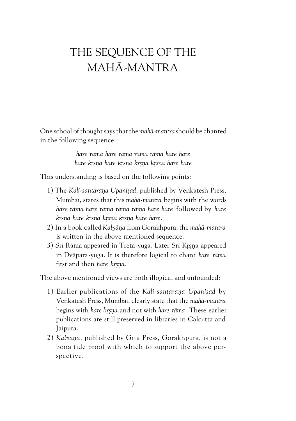# THE SEQUENCE OF THE MAHÄ-MANTRA

One school of thought says that the *mahä-mantra* should be chanted in the following sequence:

> *hare räma hare räma räma räma hare hare hare kåñëa hare kåñëa kåñëa kåñëa hare hare*

This understanding is based on the following points:

- 1) The *Kali-santarana Upanisad*, published by Venkatesh Press, Mumbai, states that this *mahä-mantra* begins with the words *hare räma hare räma räma räma hare hare* followed by *hare kåñëa hare kåñëa kåñëa kåñëa hare hare.*
- 2) In a book called *Kalyäëa* from Gorakhpura, the *mahä-mantra* is written in the above mentioned sequence.
- 3) Srī Rāma appeared in Tretā-yuga. Later Srī Krsņa appeared in Dväpara*-*yuga. It is therefore logical to chant *hare räma* first and then *hare krsna*.

The above mentioned views are both illogical and unfounded:

- 1) Earlier publications of the *Kali-santarana Upanisad* by Venkatesh Press, Mumbai, clearly state that the *mahä-mantra* begins with *hare krsna* and not with *hare rāma*. These earlier publications are still preserved in libraries in Calcutta and Jaipura.
- 2) *Kalyāna*, published by Gītā Press, Gorakhpura, is not a bona fide proof with which to support the above perspective.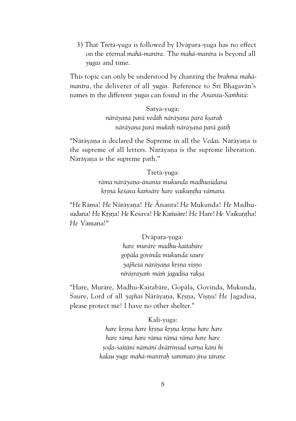3) That Tretä*-*yuga is followed by Dväpara*-*yuga has no effect on the eternal *mahä-mantra.* The *mahä-mantra* is beyond all *yugas* and time.

This topic can only be understood by chanting the *brahma mahämantra,* the deliverer of all *yugas.* Reference to Çré Bhagavän's names in the different *yugas* can found in the *Ananta-Samhitā*:

> Satya-yuga:  *näräyaëa parä vedäh näräyaëa parä kñaraù näräyaëa parä muktiù näräyaëa parä gatiù*

"Näräyana is declared the Supreme in all the *Vedas*. Näräyana is the supreme of all letters. Näräyana is the supreme liberation. Nārāyaņa is the supreme path."

> Tretä-yuga: *räma näräyaëa-änanta mukunda madhusüdana krsna keśava kamsāre hare vaikuntha vāmana*

"*He* Räma! *He* Näräyaëa! *He* Ãnanta! *He* Mukunda! *He* Madhusüdana! *He* Krsna! *He* Keśava! *He* Kaṁsāre! *He Hare! He* Vaikuntha! *He* Vämana!"

> Dväpara-yuga: *hare muräre madhu-kaitabäre gopäla govinda mukunda çaure yajïeça näräyaëa kåñëa viñëo niräñrayaà mäà jagadéça rakña*

"Hare, Muräre, Madhu-Kaitabäre, Gopäla, Govinda, Mukunda, Saure, Lord of all yajñas Nārāyana, Krsna, Visnu! He Jagadīśa, please protect me! I have no other shelter."

> Kali-yuga:  *hare kåñëa hare kåñëa kåñëa kåñëa hare hare hare räma hare räma räma räma hare hare ñoòa-çaitäni nämäni dvätrinçad varëa käni hi kalau yuge mahä-mantraù sammato jéva täraëe*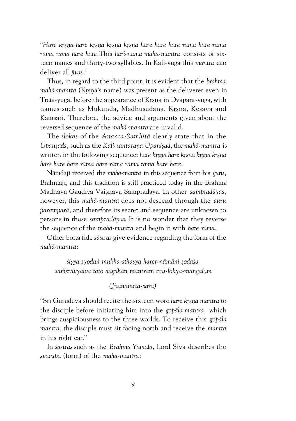"*Hare kåñëa hare kåñëa kåñëa kåñëa hare hare hare räma hare räma räma räma hare hare.*This *hari-näma mahä-mantra* consists of sixteen names and thirty-two syllables. In Kali-yuga this *mantra* can deliver all *jévas."*

Thus, in regard to the third point, it is evident that the *brahma mahā-mantra* (Krsna's name) was present as the deliverer even in Tretā-yuga, before the appearance of Krsna in Dvāpara-yuga, with names such as Mukunda, Madhusūdana, Krsna, Keśava and Kamsāri. Therefore, the advice and arguments given about the reversed sequence of the *mahä-mantra* are invalid.

The *slokas* of the *Ananta-Samhitā* clearly state that in the *Upansads*, such as the Kali-santarana Upanisad, the mahā-mantra is written in the following sequence: *hare krsna hare krsna krsna krsna hare hare hare räma hare räma räma räma hare hare*.

Näradajé received the *mahä-mantra* in this sequence from his *guru*, Brahmājī, and this tradition is still practiced today in the Brahmā Mädhava Gaudīya Vaisnava Sampradāya. In other *sampradāyas*, however, this *mahä-mantra* does not descend through the *guru paramparä,* and therefore its secret and sequence are unknown to persons in those *sampradäyas*. It is no wonder that they reverse the sequence of the *mahä-mantra* and begin it with *hare räma*.

Other bona fide *çästras* give evidence regarding the form of the *mahä-mantra*:

*çiñya syodaì mukha-sthasya harer-nämäni ñoòaça saàçrävyaiva tato dagdhän mantraà trai-lokya-mangalam*

#### *(Jïänämåta-sära)*

"Śrī Gurudeva should recite the sixteen word *hare krsna mantra* to the disciple before initiating him into the *gopäla mantra,* which brings auspiciousness to the three worlds. To receive this *gopäla mantra,* the disciple must sit facing north and receive the *mantra* in his right ear."

In *çästras* such as the *Brahma Yämala*, Lord Çiva describes the *svarüpa* (form) of the *mahä-mantra*: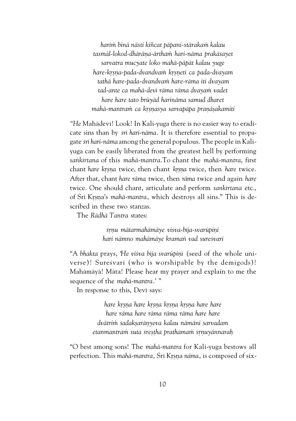*harià binä nästi kiïcat päpani-stärakaà kalau tasmäl-lokod-dhäräëa-ärthaà hari-näma prakäçayet sarvatra mucyate loko mahä-päpät kalau yuge hare-kåñëa-pada-dvandvaà kåñëeti ca pada-dvayam tathä hare-pada-dvandvaà hare-räma iti dvayam tad-ante ca mahä-devé räma räma dvayaà vadet hare hare tato brüyäd harinäma samud dharet* mahā-mantram ca krsnasya sarvapāpa pranāsakamiti

"He Mahādevī! Look! In Kali-yuga there is no easier way to eradicate sins than by *çré hari-näma*. It is therefore essential to propagate *çré hari-näma* among the general populous. The people in Kaliyuga can be easily liberated from the greatest hell by performing *saìkértana* of this *mahä-mantra*.To chant the *mahä-mantra*, first chant *hare krsna* twice, then chant *krsna* twice, then *hare* twice. After that, chant *hare räma* twice, then *räma* twice and again *hare* twice. One should chant, articulate and perform *sankértana* etc., of Śrī Krsna's *mahā-mantra*, which destroys all sins." This is described in these two stanzas.

The *Rädhä Tantra* states:

*çåëu mätarmahämäye viçva-béja-svarüpiëi hari nämno mahämäye kramaì vad sureçvari*

"A bhakta prays, He visva bija svarūpinī (seed of the whole universe)! Suresvari (who is worshipable by the demigods)! Mahämäyä! Mäta! Please hear my prayer and explain to me the sequence of the *mahä-mantra*.' "

In response to this, Devi says:

*hare kåñëa hare kåñëa kåñëa kåñëa hare hare hare räma hare räma räma räma hare hare dvätrià çadakñaräëyeva kalau nämäni sarvadam etanmantraà suta çreñöha prathamaà çåëuyännaraù*

"O best among sons! The *mahä-mantra* for Kali*-*yuga bestows all perfection. This *mahā-mantra*, Śrī Krsna *nāma*, is composed of six-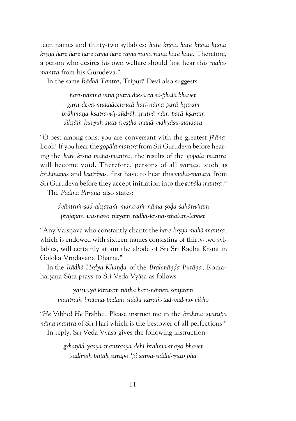teen names and thirty-two syllables: *hare krsna hare krsna krsna kåñëa hare hare hare räma hare räma räma räma hare hare*. Therefore, a person who desires his own welfare should first hear this *mahämantra* from his Gurudeva."

In the same *Rādhā Tantra*, Tripurā Devī also suggests:

*hari-nämnä vinä putra dékñä ca vi-phalä bhavet guru-deva-mukhäcchrutä hari-näma parä kñaram brāhmana-ksatra-vit-śūdrāh srutvā nām parā ksaram dékñäà kuryuù suta-çreñöha mahä-vidhyäsu-sundara*

"O best among sons, you are conversant with the greatest *jïäna*. Look! If you hear the *gopāla mantra* from Śrī Gurudeva before hearing the *hare krsna mahā-mantra*, the results of the *gopāla mantra* will become void. Therefore, persons of all *varnas*, such as *brāhmanas* and *ksatriyas*, *first have to hear this mahā-mantra from* Śrī Gurudeva before they accept initiation into the *gopāla mantra*."

The Padma Purāna also states:

*dväntrià-sad-akñaraà mantraà näma-ñoòa-çakänvitam* prajapan vaisnavo nityam rādhā-krsna-sthalam-labhet

"Any Vaisnava who constantly chants the *hare krsna mahā-mantra*, which is endowed with sixteen names consisting of thirty-two syllables, will certainly attain the abode of Śrī Śrī Rādhā Krsna in Goloka Vrndävana Dhäma."

In the *Rādhā Hrdya Khanda* of the *Brahmānda Purāna*, Romaharṣaṇa Sūta prays to Śrī Veda Vyāsa as follows:

*yattvayä kértitaà nätha hari-nämeti sanjitam mantraà brahma-padaà siddhi karaà-tad-vad-no-vibho*

"*He* Vibho! *He* Prabhu! Please instruct me in the *brahma svarüpa näma mantra* of Çré Hari which is the bestower of all perfections." In reply, Śrī Veda Vyāsa gives the following instruction:

> *gåhaëäd yasya mantrasya dehé brahma-mayo bhavet sadhyaù pütaù suräpo 'pi sarva-siddhi-yuto bha*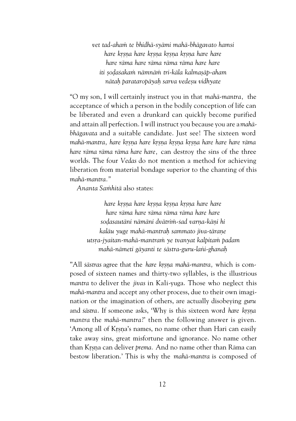*vet tad-ahaà te bhidhä-syämi mahä-bhägavato hamsi hare kåñëa hare kåñëa kåñëa kåñëa hare hare hare räma hare räma räma räma hare hare iti ñoòaçakaà nämnäà tri-käla kalmañäp-aham nätaù parataropäyaù sarva vedeñu vidhyate*

"O my son, I will certainly instruct you in that *mahä-mantra,* the acceptance of which a person in the bodily conception of life can be liberated and even a drunkard can quickly become purified and attain all perfection. I will instruct you because you are a *mahäbhägavata* and a suitable candidate. Just see! The sixteen word *mahā-mantra, hare krsna hare krsna krsna krsna hare hare hare rāma hare räma räma räma hare hare,* can destroy the sins of the three worlds. The four *Vedas* do not mention a method for achieving liberation from material bondage superior to the chanting of this *mahä-mantra."*

*Ananta Saàhitä* also states:

*hare kåñëa hare kåñëa kåñëa kåñëa hare hare hare räma hare räma räma räma hare hare soòasautäni nämäni dvätrià-çad varëa-käëi hi kaläu yuge mahä-mantraù sammato jéva-täraëe utsåa-jyaitan-mahä-mantraà ye tvanyat kalpitaà padam mahä-nämeti gäyanti te çästra-guru-laìi-ghanaù*

"All *sästras* agree that the *hare krsna mahā-mantra*, which is composed of sixteen names and thirty-two syllables, is the illustrious *mantra* to deliver the *jévas* in Kali*-*yuga. Those who neglect this *mahä-mantra* and accept any other process, due to their own imagination or the imagination of others, are actually disobeying *guru* and *sästra*. If someone asks, 'Why is this sixteen word *hare krsna mantra* the *mahä-mantra*?' then the following answer is given. 'Among all of Krsna's names, no name other than Hari can easily take away sins, great misfortune and ignorance. No name other than Krsna can deliver *prema.* And no name other than Rāma can bestow liberation.' This is why the *mahä-mantra* is composed of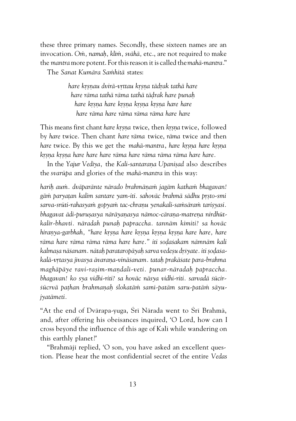these three primary names. Secondly, these sixteen names are an invocation. Om, namah, klīm, svāhā, etc., are not required to make the *mantra* more potent. For this reason it is called the *mahä-mantra*." The *Sanat Kumära Saàhitä* states:

> *hare kåñëau dvirä-våttau kåñëa tädåak tathä hare hare räma tathä räma tathä täòrak hare punaù hare kåñëa hare kåñëa kåñëa kåñëa hare hare hare räma hare räma räma räma hare hare*

This means first chant *hare krsna* twice, then *krsna* twice, followed by *hare* twice. Then chant *hare räma* twice, *räma* twice and then *hare* twice. By this we get the *mahā-mantra*, *hare krsna hare krsna kåñëa kåñëa hare hare hare räma hare räma räma räma hare hare.*

In the *Yajur Vediya*, the *Kali-santarana Upanisad* also describes the *svarüpa* and glories of the *mahä-mantra* in this way:

*hariù auà. dväparänte närado brahmäëaà jagäm kathaà bhagavan!* gām paryatan kalim santare yam-iti. sahovāc brahmā sādhu prsto-smi sarva-srūti-rahasyam gopyam tac-chranu yenakali-samsāram tarisyasi. bhagavat ādi-purusasya nārāyanasya nāmoc-cārana-matrena nirdhūt*kalir-bhavti. näradah punaù papraccha. tannäm kimiti? sa hoväc hiraëya-garbhah, "hare kåñëa hare kåñëa kåñëa kåñëa hare hare, hare räma hare räma räma räma hare hare." iti soòaçakam nämnäm kali* kalmasa nāśanam. nātah parataropāyah sarva vedesu drśyate. iti sodaśa*kalä-våtasya jévasya ävaraëa-vinäçanam. tataù prakäçate para-brahma maghäpäye ravi-rañim-maëdalé-veti. punar-näradaù papraccha. bhagavan! ko sya vidhi-riti? sa hoväc näsya vidhi-riti. sarvadä çücir*sūcrvā pathan brahmanah slokatām samī-patām saru-patām sāyu*jyatämeti.*

"At the end of Dvärapa*-*yuga, Çré Närada went to Çré Brahmä, and, after offering his obeisances inquired, 'O Lord, how can I cross beyond the influence of this age of Kali while wandering on this earthly planet?'

"Brahmājī replied, 'O son, you have asked an excellent question. Please hear the most confidential secret of the entire *Vedas*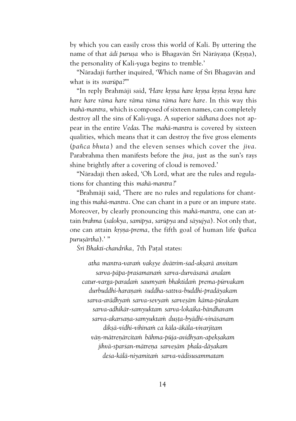by which you can easily cross this world of Kali. By uttering the name of that *ādi purușa* who is Bhagavān Srī Nārāyaņa (Krsņa), the personality of Kali*-*yuga begins to tremble.'

"Nāradajī further inquired, 'Which name of Śrī Bhagavān and what is its *svarüpa*?'"

"In reply Brahmäji said, *'Hare krsna hare krsna krsna krsna hare hare hare räma hare räma räma räma hare hare.* In this way this *mahä-mantra,* which is composed of sixteen names, can completely destroy all the sins of Kali*-*yuga. A superior *sädhana* does not appear in the entire *Vedas*. The *mahä-mantra* is covered by sixteen qualities, which means that it can destroy the five gross elements (*païca bhuta* ) and the eleven senses which cover the *jéva*. Parabrahma then manifests before the *jīva*, just as the sun's rays shine brightly after a covering of cloud is removed.'

"Nāradajī then asked, 'Oh Lord, what are the rules and regulations for chanting this *mahä-mantra*?'

"Brahmājī said, 'There are no rules and regulations for chanting this *mahä-mantra*. One can chant in a pure or an impure state. Moreover, by clearly pronouncing this *mahä-mantra,* one can attain *brahma* (*salokya, samépya, sarüpya* and *säyujya*)*.* Not only that, one can attain *kåñëa-prema,* the fifth goal of human life (*païca puruñärtha*).' "

Śrī Bhakti-chandrika, 7th Patal states:

*atha mantra-varaà vakñye dvätrim-çad-akñarä anvitam sarva-päpa-praçamanaà sarva-durväsanä analam catur-varga-paradaà saumyaà bhaktidaà prema-pürvakam durbuddhi-haraëaà çuddha-sattva-buddhi-pradäyakam sarva-arädhyaà sarva-sevyaà sarveñäm käma-pürakam sarva-adhikär-samyuktam sarva-lokaika-bändhavam sarva-akarsaëa-samyuktaà duñöa-byädhi-vinäçanam dékñä-vidhi-vihénaà ca käla-äkäla-vivarjitam väë-mätreëärcitaà bähma-püja-avidhyan-apekñakam jihvä-sparçan-mätreëa sarveñäm phala-däyakam deça-kälä-niyamitaà sarva-vädisusammatam*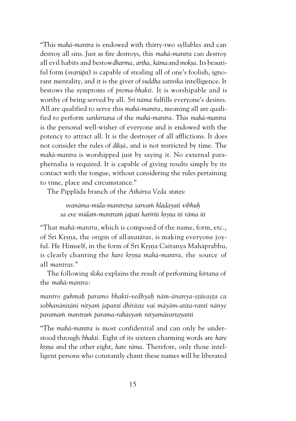"This *mahä-mantra* is endowed with thirty-two syllables and can destroy all sins. Just as fire destroys, this *mahä-mantra* can destroy all evil habits and bestow *dharma, artha, kāma* and *moksa*. Its beautiful form (*svarüpa*) is capable of stealing all of one's foolish, ignorant mentality, and it is the giver of *çuddha sattvika* intelligence. It bestows the symptoms of *prema-bhakti.* It is worshipable and is worthy of being served by all. *Çré näma* fulfills everyone's desires. All are qualified to serve this *mahä-mantra*, meaning all are qualified to perform *saìkértana* of the *mahä-mantra*. This *mahä-mantra* is the personal well-wisher of everyone and is endowed with the potency to attract all. It is the destroyer of all afflictions. It does not consider the rules of *dékñä*, and is not restricted by time. The *mahä-mantra* is worshipped just by saying it. No external paraphernalia is required. It is capable of giving results simply by its contact with the tongue, without considering the rules pertaining to time, place and circumstance."

The Pippläda branch of the *Athärva Veda* states:

*svanäma-müla-mantreëa sarvaà hlädayati vibhuù* sa eve mūlam-mantram japati haririti krsna iti rāma iti

"That *mahä-mantra,* which is composed of the name, form, etc., of Śrī Krsna, the origin of all *avatāras*, is making everyone joyful. He Himself, in the form of Śrī Krsna Caitanya Mahāprabhu, is clearly chanting the *hare krsna mahā-mantra*, the source of all *mantras.*"

The following *çloka* explains the result of performing *kértana* of the *mahä-mantra*:

*mantro guhmaù paramo bhakti-vedhyaù näm-änanya-ñöävañöa ca çobhanänitäni nityaà japanti dhéräste vai mäyäm-atita-ranti nänye paramaà mantraà parama-rahasyaà nityamävartayanti*

"The *mahä-mantra* is most confidential and can only be understood through *bhakti.* Eight of its sixteen charming words are *hare krsna* and the other eight, *hare rāma*. Therefore, only those intelligent persons who constantly chant these names will be liberated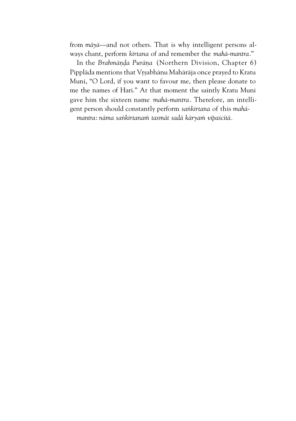from *mäyä—*and not others. That is why intelligent persons always chant, perform *kértana* of and remember the *mahä-mantra*."

In the *Brahmända Puräna* (Northern Division, Chapter 6) Pipplāda mentions that Vŗṣabhānu Mahārāja once prayed to Kratu Muni, "O Lord, if you want to favour me, then please donate to me the names of Hari." At that moment the saintly Kratu Muni gave him the sixteen name *mahä-mantra*. Therefore, an intelligent person should constantly perform *saìkértana* of this *mahä-*

*mantra*: *näma saìkértanaà tasmät sadä käryaà vipaçcitä.*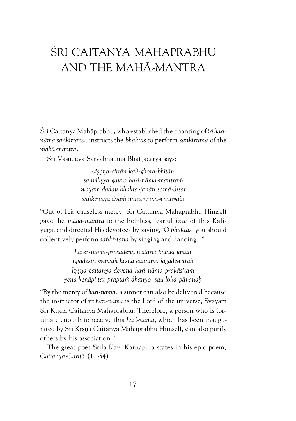# ŚRĪ CAITANYA MAHĀPRABHU AND THE MAHÄ-MANTRA

Śrī Caitanya Mahāprabhu, who established the chanting of *śrī harinäma saìkértana,* instructs the *bhaktas* to perform *saìkértana* of the *mahä-mantra*.

Śrī Vāsudeva Sārvabhauma Bhattācārya says:

*viñëëa-cittän kali-ghora-bhétän sanvékñya gauro hari-näma-mantraà svayaà dadau bhakta-janän samä-diçat saìkértaya dvaà nanu nåtya-vädhyaiù*

"Out of His causeless mercy, Śrī Caitanya Mahāprabhu Himself gave the *mahä-mantra* to the helpless, fearful *jévas* of this Kaliyuga, and directed His devotees by saying, 'O *bhaktas*, you should collectively perform *saìkértana* by singing and dancing.' "

> *harer-näma-prasädena nistaret pätaké janaù upadeñöä svayaà kåñëa caitanyo jagadéçvaraù kåñëa-caitanya-devena hari-näma-prakäçitam yena kenäpi tat-praptaà dhanyo' sau loka-pävanaù*

"By the mercy of *hari-näma*, a sinner can also be delivered because the instructor of *śrī hari-nāma* is the Lord of the universe, Svayam Śrī Krsna Caitanya Mahāprabhu. Therefore, a person who is fortunate enough to receive this *hari-näma,* which has been inaugurated by Šrī Krsņa Caitanya Mahāprabhu Himself, can also purify others by his association."

The great poet Śrila Kavi Karnapūra states in his epic poem, *Caitanya-Caritä* (11-54):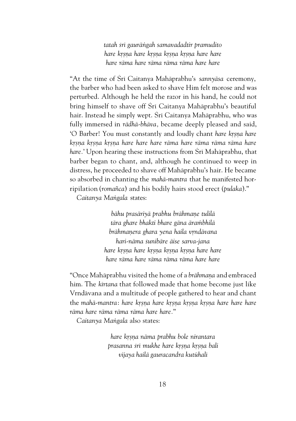*tatah çré gauräìgah samavadadtir pramudito hare kåñëa hare kåñëa kåñëa kåñëa hare hare hare räma hare räma räma räma hare hare*

"At the time of Çré Caitanya Mahäprabhu's *sannyäsa* ceremony, the barber who had been asked to shave Him felt morose and was perturbed. Although he held the razor in his hand, he could not bring himself to shave off Śrī Caitanya Mahāprabhu's beautiful hair. Instead he simply wept. Śrī Caitanya Mahāprabhu, who was fully immersed in *rädhä-bhäva,* became deeply pleased and said, 'O Barber! You must constantly and loudly chant hare krsna hare *kåñëa kåñëa kåñëa hare hare hare räma hare räma räma räma hare* hare.' Upon hearing these instructions from Śrī Mahāprabhu, that barber began to chant, and, although he continued to weep in distress, he proceeded to shave off Mahäprabhu's hair. He became so absorbed in chanting the *mahä-mantra* that he manifested horripilation (*romaïca*) and his bodily hairs stood erect (*pulaka*)."

*Caitanya Maìgala* states:

*bähu prasäriyä prabhu brähmaëe tulilä tära ghare bhakti bhare gäna äraàbhilä brāhmanera ghara yena haila vrndāvana hari-näma çunibäre äise sarva-jana hare kåñëa hare kåñëa kåñëa kåñëa hare hare hare räma hare räma räma räma hare hare*

"Once Mahāprabhu visited the home of a *brāhmana* and embraced him. The *kértana* that followed made that home become just like Vrndävana and a multitude of people gathered to hear and chant the *mahā-mantra*: *hare krsna hare krsna krsna krsna hare hare hare räma hare räma räma räma hare hare.*"

*Caitanya Maìgala* also states:

*hare kåñëa näma prabhu bole nirantara prasanna çré mukhe hare kåñëa kåñëa bali vijaya hailä gauracandra kutühalé*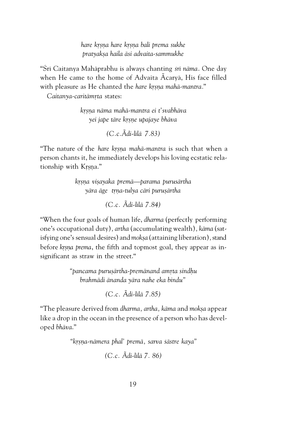*hare kåñëa hare kåñëa bali prema sukhe pratyakña haila äsi advaita-sammukhe*

"Śrī Caitanya Mahāprabhu is always chanting *śrī nāma*. One day when He came to the home of Advaita Ãcaryä, His face filled with pleasure as He chanted the *hare krsna mahā-mantra*."

Caitanya-caritāmrta states:

*kåñëa näma mahä-mantra ei t'svabhäva yei jape täre kåñëe upajaye bhäva*

*(C.c.Ãdi-lélä 7.83)*

"The nature of the *hare krsna mahā-mantra* is such that when a person chants it, he immediately develops his loving ecstatic relationship with Krsna."

> *kåñëa viñayaka premä—parama purusärtha yära äge tåëa-tulya cäri puruñärtha*

> > *(C.c. Ãdi-lélä 7.84)*

"When the four goals of human life, *dharma* (perfectly performing one's occupational duty)*, artha* (accumulating wealth)*, käma* (satisfying one's sensual desires) and *mokṣa* (attaining liberation), stand before *krsna prema*, the fifth and topmost goal, they appear as insignificant as straw in the street."

> *"pancama puruñärtha-premänand amåta sindùu brahmädi änanda yära nahe eka bindu"*

> > *(C.c. Ãdi-lélä 7.85)*

"The pleasure derived from *dharma, artha, käma* and *mokña* appear like a drop in the ocean in the presence of a person who has developed *bhäva*."

*"kåñëa-nämera phal' premä, sarva çästre kaya"*

*(C.c. Ãdi-lélä 7. 86)*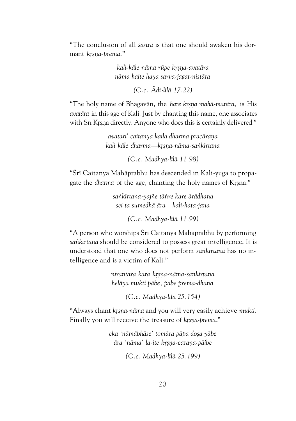"The conclusion of all *çästra* is that one should awaken his dormant krsna-prema."

> *kali-käle näma rüpe kåñëa-avatära näma haite haya sarva-jagat-nistära*

> > *(C.c. Ãdi-lélä 17.22)*

"The holy name of Bhagavān, the *hare krsna mahā-mantra*, is His *avatära* in this age of Kali. Just by chanting this name, one associates with Śrī Krsna directly. Anyone who does this is certainly delivered."

> *avatari' caitanya kaila dharma pracārana kali käle dharma—kåñëa-näma-saìkértana*

> > *(C.c. Madhya-lélä 11.98)*

"Śrī Caitanya Mahāprabhu has descended in Kali-yuga to propagate the *dharma* of the age, chanting the holy names of Krsna."

> *saìkértana-yajïe täìre kare ärädhana sei ta sumedhä ära—kali-hata-jana*

> > *(C.c. Madhya-lélä 11.99)*

"A person who worships Śrī Caitanya Mahāprabhu by performing *saìkértana* should be considered to possess great intelligence. It is understood that one who does not perform *saìkértana* has no intelligence and is a victim of Kali."

> *nirantara kara kåñëa-näma-saìkértana heläya mukti päbe, pabe prema-dhana*

> > *(C.c. Madhya-lélä 25.154)*

"Always chant *krsna-nāma* and you will very easily achieve mukti. Finally you will receive the treasure of *krsna-prema*."

> *eka 'nämäbhäse' tomära päpa doña yäbe ära 'näma' la-ite kåñëa-caraëa-päibe*

> > *(C.c. Madhya-lélä 25.199)*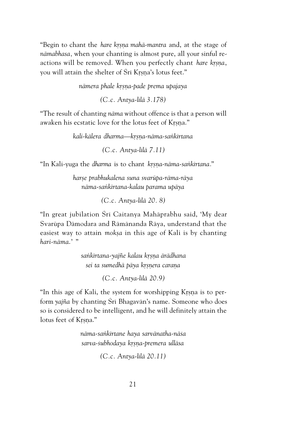"Begin to chant the *hare krsna mahā-mantra* and, at the stage of *nämabhasa,* when your chanting is almost pure, all your sinful reactions will be removed. When you perfectly chant *hare krsna*, you will attain the shelter of Śrī Krsna's lotus feet."

*nämera phale kåñëa-pade prema upajaya*

*(C.c. Antya-lélä 3.178)*

"The result of chanting *näma* without offence is that a person will awaken his ecstatic love for the lotus feet of Krsna."

*kali-kälera dharma—kåñëa-näma-saìkértana*

*(C.c. Antya-lélä 7.11)*

"In Kali-yuga the *dharma* is to chant *krsna-nāma-sankīrtana.*"

*harñe prabhukalena suna svarüpa-räma-räya näma-saìkértana-kalau parama upäya*

*(C.c. Antya-lélä 20. 8)*

"In great jubilation Śrī Caitanya Mahāprabhu said, 'My dear Svarüpa Dämodara and Rämänanda Räya, understand that the easiest way to attain *moksa* in this age of Kali is by chanting *hari-näma*.' "

> *saìkértana-yajïe kalau kåñëa ärädhana sei ta sumedhä päya kåñëera caraëa*

> > *(C.c. Antya-lélä 20.9)*

"In this age of Kali, the system for worshipping Krsna is to perform *yajïa* by chanting Çré Bhagavän's name. Someone who does so is considered to be intelligent, and he will definitely attain the lotus feet of Krsna."

> *näma-saìkértane haya sarvänatha-näça sarva-çubhodaya kåñëa-premera ulläsa*

> > *(C.c. Antya-lélä 20.11)*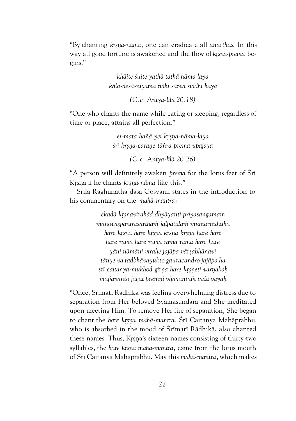"By chanting *kåñëa-näma*, one can eradicate all *anarthas*. In this way all good fortune is awakened and the flow of *krsna-prema* begins."

> *khäite çuite yathä tathä näma laya käla-deçä-niyama nähi sarva siddhi haya*

> > *(C.c. Antya-lélä 20.18)*

"One who chants the name while eating or sleeping, regardless of time or place, attains all perfection."

> *ei-mata haïä yei kåñëa-näma-laya çré kåñëa-caraëe täìra prema upajaya*

> > *(C.c. Antya-lélä 20.26)*

"A person will definitely awaken *prema* for the lotus feet of Çré Krsna if he chants *krsna-nāma* like this."

Śrīla Raghunātha dāsa Gosvāmī states in the introduction to his commentary on the *mahä-mantra*:

> *ekadä kåñëavirahäd dhyäyanté priyasangamam manoväñpaniräsärthaà jalpatédaà muhurmuhuha hare kåñëa hare kåñëa kåñëa kåñëa hare hare hare räma hare räma räma räma hare hare yäni nämäni virahe jajäpa värñabhänavé tänye va tadbhävayukto gauracandro jajäpa ha çré caitanya-mukhod gérëa hare kåñëeti varëakaù majjayanto jagat premëi vijayantäà tadä vayäù*

"Once, Śrīmatī Rādhikā was feeling overwhelming distress due to separation from Her beloved Çyämasundara and She meditated upon meeting Him. To remove Her fire of separation, She began to chant the *hare krsna mahā-mantra.* Śrī Caitanya Mahāprabhu, who is absorbed in the mood of Śrīmatī Rādhikā, also chanted these names. Thus, Krsna's sixteen names consisting of thirty-two syllables, the *hare krsna mahā-mantra*, came from the lotus mouth of Çré Caitanya Mahäprabhu. May this *mahä-mantra*, which makes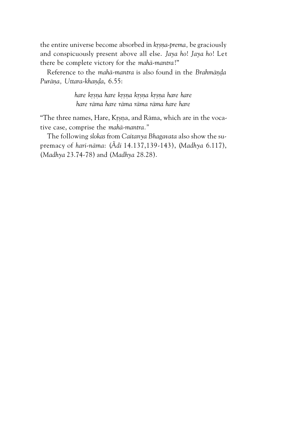the entire universe become absorbed in *krsna-prema*, be graciously and conspicuously present above all else. *Jaya ho*! *Jaya ho*! Let there be complete victory for the *mahä-mantra*!"

Reference to the *mahā-mantra* is also found in the *Brahmānda* Purāna, Uttara-khanda, 6.55:

> *hare kåñëa hare kåñëa kåñëa kåñëa hare hare hare räma hare räma räma räma hare hare*

"The three names, Hare, Krsna, and Rāma, which are in the vocative case, comprise the *mahä-mantra."*

The following *çlokas* from *Caitanya Bhagavata* also show the supremacy of *hari-näma*: (*Ãdi* 14.137,139-143), (*Madhya* 6.117), (*Madhya* 23.74-78) and (*Madhya* 28.28).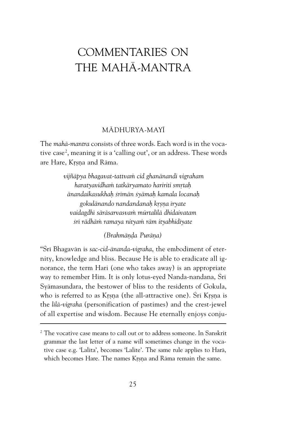## COMMENTARIES ON THE MAHÄ-MANTRA

#### MÄDHURYA-MAYÉ

The *mahä-mantra* consists of three words. Each word is in the vocative case<sup>2</sup>, meaning it is a 'calling out', or an address. These words are Hare, Krsna and Rāma.

> *vijïäpya bhagavat-tattvaà cid ghanänandi vigraham haratyavidhaà tatkäryamato haririti småtaù änandaikasukhaù çrémän çyämaù kamala locanaù gokulänando nandandanaù kåñëa éryate vaidagdhé säräsarvasvaà mürtalélä dhidaivatam çré rädhäà ramaya nityaà räm ityabhidéyate*

> > *(Brahmānda Purāna)*

"Srī Bhagavān is sac-cid-ānanda-vigraha, the embodiment of eternity, knowledge and bliss. Because He is able to eradicate all ignorance, the term Hari (one who takes away) is an appropriate way to remember Him. It is only lotus-eyed Nanda-nandana, Srī Syämasundara, the bestower of bliss to the residents of Gokula, who is referred to as Krsna (the all-attractive one). Śrī Krsna is the *lilā-vigraha* (personification of pastimes) and the crest-jewel of all expertise and wisdom. Because He eternally enjoys conju-

 $^{\rm 2}$  The vocative case means to call out or to address someone. In Sanskrit grammar the last letter of a name will sometimes change in the vocative case e.g. 'Lalita', becomes 'Lalite'. The same rule applies to Harä, which becomes Hare. The names Krsna and Räma remain the same.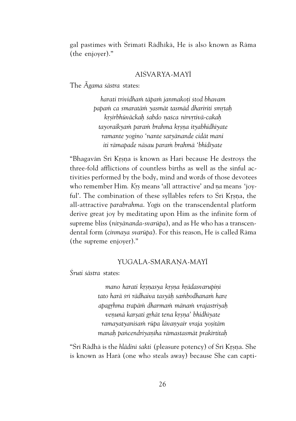gal pastimes with Śrīmatī Rādhīkā, He is also known as Rāma (the enjoyer)."

#### AIÇVARYA-MAYÉ

The *Ãgama çästra* states:

*harati trividhaà täpaà janmakoöi çtod bhavam papaà ca smaratäà yasmät tasmäd dhaririti småtaù kåñirbhüväckaù çabdo ëaçca nirvåtivä-cakaù tayoraikyaà paraà brahma kåñëa ityabhidhéyate ramante yogino 'nante satyänande cidät mani iti rämapade näsau paraà brahmä 'bhidéyate*

"Bhagavān Śrī Krsņa is known as Hari because He destroys the three-fold afflictions of countless births as well as the sinful activities performed by the body, mind and words of those devotees who remember Him. Krs means 'all attractive' and *na* means 'joyful'. The combination of these syllables refers to Śrī Krsna, the all-attractive *parabrahma*. *Yogés* on the transcendental platform derive great joy by meditating upon Him as the infinite form of supreme bliss (*nityänanda-svarüpa*), and as He who has a transcendental form (*cinmaya svarüpa*). For this reason, He is called Räma (the supreme enjoyer)."

#### YUGALA-SMARANA-MAYĪ

*Çruti çästra* states:

mano harati krsnasya krsna hrādasvarupiņī *tato harä çré rädhaiva tasyäù saàbodhanaà hare apagåhma trapäà dharmaà mänaà vrajastriyaù veëunä karñati gåhät tena kåñëa' bhidhéyate ramayatyaniçaà rüpa lävaëyair vraja yoñitäm manaù paìcendriyaëéha rämastasmät prakértitaù*

"Śrī Rādhā is the *hlādinī śakti* (pleasure potency) of Śrī Krsna. She is known as Harä (one who steals away) because She can capti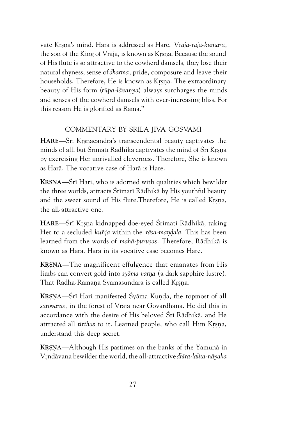vate Kåñëa's mind. Harä is addressed as Hare. *Vraja-räja-kumära,* the son of the King of Vraja, is known as Krsna. Because the sound of His flute is so attractive to the cowherd damsels, they lose their natural shyness, sense of *dharma*, pride, composure and leave their households. Therefore, He is known as Krsna. The extraordinary beauty of His form (*rūpa-lāvanya*) always surcharges the minds and senses of the cowherd damsels with ever-increasing bliss. For this reason He is glorified as Räma."

#### COMMENTARY BY ŚRĪLA JĪVA GOSVĀMĪ

**HARE—**Sri Krsnacandra's transcendental beauty captivates the minds of all, but Śrīmatī Rādhikā captivates the mind of Śrī Krsna by exercising Her unrivalled cleverness. Therefore, She is known as Harä. The vocative case of Harä is Hare.

**KRSNA—**Srī Hari, who is adorned with qualities which bewilder the three worlds, attracts Śrīmatī Rādhikā by His youthful beauty and the sweet sound of His flute.Therefore, He is called Krsna, the all-attractive one.

**HARE—**Śrī Krsna kidnapped doe-eyed Śrīmatī Rādhikā, taking Her to a secluded *kuñja* within the *rāsa-mandala*. This has been learned from the words of *mahā-purusas*. Therefore, Rādhikā is known as Harä. Harä in its vocative case becomes Hare.

**KRSNA—The magnificent effulgence that emanates from His** limbs can convert gold into *syāma varna* (a dark sapphire lustre). That Rādhā-Ramana Śyāmasundara is called Krsna.

**KRSNA—**Śrī Hari manifested Śyāma Kunda, the topmost of all *sarovaras,* in the forest of Vraja near Govardhana. He did this in accordance with the desire of His beloved Śrī Rādhikā, and He attracted all *tirthas* to it. Learned people, who call Him Krsna, understand this deep secret.

**KRSNA—Although His pastimes on the banks of the Yamuna in** Våndävana bewilder the world, the all-attractive *dhéra-lalita-näyaka*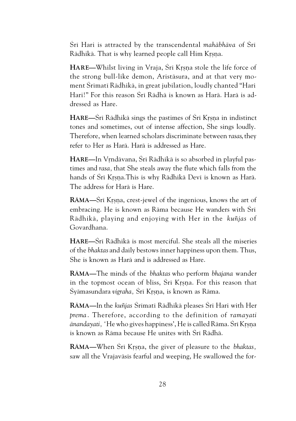Çré Hari is attracted by the transcendental *mahäbhäva* of Çré Rādhikā. That is why learned people call Him Krsna.

**HARE—Whilst living in Vraja, Šrī Krsna stole the life force of** the strong bull-like demon, Aristäsura, and at that very moment Çrématé Rädhikä, in great jubilation, loudly chanted "Hari Hari!" For this reason Śrī Rādhā is known as Harā. Harā is addressed as Hare.

**HARE—**Sri Rädhikä sings the pastimes of Sri Krsna in indistinct tones and sometimes, out of intense affection, She sings loudly. Therefore, when learned scholars discriminate between *rasas*, they refer to Her as Harä. Harä is addressed as Hare.

**HARE—In** Vrndāvana, Šrī Rādhikā is so absorbed in playful pastimes and *rasa,* that She steals away the flute which falls from the hands of Śrī Krsna.This is why Rādhikā Devī is known as Harā. The address for Harä is Hare.

**RAMA—S**ri Krsna, crest-jewel of the ingenious, knows the art of embracing. He is known as Rāma because He wanders with Śrī Rädhikä, playing and enjoying with Her in the *kuïjas* of Govardhana.

**HARE—**Çré Rädhikä is most merciful. She steals all the miseries of the *bhaktas* and daily bestows inner happiness upon them. Thus, She is known as Harä and is addressed as Hare.

**RÄMA—**The minds of the *bhaktas* who perform *bhajana* wander in the topmost ocean of bliss, Śrī Krsna. For this reason that Śyāmasundara *vigraha, Śrī Krsna, is known as Rāma*.

**RÄMA—**In the *kuïjas* Çrématé Rädhikä pleases Çré Hari with Her *prema* . Therefore, according to the definition of *ramayati*  $\bar{a}$ nandayati, 'He who gives happiness', He is called Rāma. Śrī Krsna is known as Rāma because He unites with Śrī Rādhā.

**RÄMA—**When Çré Kåñëa, the giver of pleasure to the *bhaktas,* saw all the Vrajaväsis fearful and weeping, He swallowed the for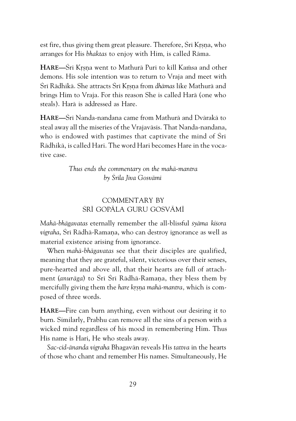est fire, thus giving them great pleasure. Therefore, Sri Krsna, who arranges for His *bhaktas* to enjoy with Him*,* is called Räma.

**HARE—**Srī Krsna went to Mathurā Purī to kill Kaṁsa and other demons. His sole intention was to return to Vraja and meet with Śrī Rādhikā. She attracts Śrī Krsna from *dhāmas* like Mathurā and brings Him to Vraja. For this reason She is called Harä (one who steals). Harä is addressed as Hare.

**HARE—**Çré Nanda-nandana came from Mathurä and Dvärakä to steal away all the miseries of the Vrajavāsīs. That Nanda-nandana, who is endowed with pastimes that captivate the mind of Śrī Rädhikä, is called Hari. The word Hari becomes Hare in the vocative case.

> *Thus ends the commentary on the mahä-mantra by Çréla Jéva Gosvämé*

#### COMMENTARY BY ŚRĪ GOPĀLA GURU GOSVĀMĪ

*Mahä-bhägavatas* eternally remember the all-blissful *çyäma kiçora vigraha*, Śrī Rādhā-Ramana, who can destroy ignorance as well as material existence arising from ignorance.

When *mahä-bhägavatas* see that their disciples are qualified, meaning that they are grateful, silent, victorious over their senses, pure-hearted and above all, that their hearts are full of attachment (*anurāga*) to Śrī Śrī Rādhā-Ramana, they bless them by mercifully giving them the *hare krsna mahā-mantra*, which is composed of three words.

**HARE—**Fire can burn anything, even without our desiring it to burn. Similarly, Prabhu can remove all the sins of a person with a wicked mind regardless of his mood in remembering Him. Thus His name is Hari, He who steals away.

*Sac-cid-änanda vigraha* Bhagavän reveals His *tattva* in the hearts of those who chant and remember His names. Simultaneously, He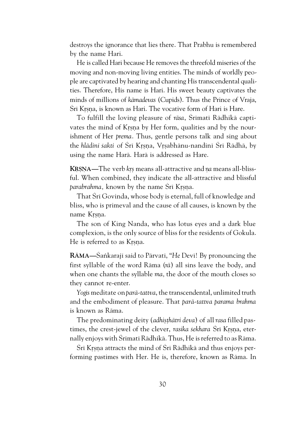destroys the ignorance that lies there. That Prabhu is remembered by the name Hari.

He is called Hari because He removes the threefold miseries of the moving and non-moving living entities. The minds of worldly people are captivated by hearing and chanting His transcendental qualities. Therefore, His name is Hari. His sweet beauty captivates the minds of millions of *kämadevas* (Cupids). Thus the Prince of Vraja, Śrī Krsna, is known as Hari. The vocative form of Hari is Hare.

To fulfill the loving pleasure of *rāsa*, Śrīmatī Rādhikā captivates the mind of Krsna by Her form, qualities and by the nourishment of Her *prema*. Thus, gentle persons talk and sing about the *hlādini sakti* of Śrī Krsna, Vrsabhānu-nandinī Śrī Rādhā, by using the name Harä. Harä is addressed as Hare.

**KRSNA—The verb krs means all-attractive and** *na* **means all-bliss**ful. When combined, they indicate the all-attractive and blissful *parabrahma, known by the name Śrī Krsna.* 

That Śrī Govinda, whose body is eternal, full of knowledge and bliss, who is primeval and the cause of all causes, is known by the name Krsna.

The son of King Nanda, who has lotus eyes and a dark blue complexion, is the only source of bliss for the residents of Gokula. He is referred to as Krsna.

**RAMA**—Sankaraji said to Pārvatī, "He Devī! By pronouncing the first syllable of the word Räma (*rä*) all sins leave the body, and when one chants the syllable *ma,* the door of the mouth closes so they cannot re-enter.

*Yogés* meditate on *parä-tattva*, the transcendental, unlimited truth and the embodiment of pleasure. That *parä-tattva parama brahma* is known as Räma.

The predominating deity (*adhisthātri deva*) of all *rasa* filled pastimes, the crest-jewel of the clever, *rasika śekhara* Śrī Krsna, eternally enjoys with Šrīmatī Rādhikā. Thus, He is referred to as Rāma.

Śrī Krsna attracts the mind of Śrī Rādhikā and thus enjoys performing pastimes with Her. He is, therefore, known as Räma. In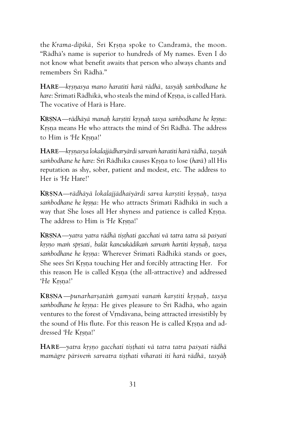the *Krama-dipikā*, Śri Krsna spoke to Candramā, the moon. "Rädhä's name is superior to hundreds of My names. Even I do not know what benefit awaits that person who always chants and remembers Śrī Rādhā."

**HARE—**krsnasya mano haratīti harā rādhā, tasyāh sambodhane he hare: Śrīmati Rādhikā, who steals the mind of Krsna, is called Harā. The vocative of Harä is Hare.

**KRSNA—**rādhāyā manah karstīti krsnah tasya sambodhane he krsna: Krsna means He who attracts the mind of Śrī Rādhā. The address to Him is '*He* Krsna!'

HARE—*krsnasya lokalajjädharyärdi sarvam haratiti harā rādhā*, tasyāh *saàbodhane he hare*: Çré Rädhika causes Kåñëa to lose (*harä*) all His reputation as shy, sober, patient and modest, etc. The address to Her is '*He* Hare!'

**KRSNA—**rādhāyā lokalajjādhaiyārdi sarva karstīti krsnah, tasya *saàbodhane he kåñëa*: He who attracts Çrématé Rädhikä in such a way that She loses all Her shyness and patience is called Krsna. The address to Him is '*He* Krsna!'

**KRSNA—**yatra yatra rädhā tisthati gacchati vā tatra tatra sā paśyati *kåñëo maà spåçati, balät kancukädikaà sarvaà hartéti kåñëaù, tasya* sambodhane he krsna: Wherever Śrīmati Rādhikā stands or goes, She sees Śrī Krsna touching Her and forcibly attracting Her. For this reason He is called Krsna (the all-attractive) and addressed '*He* Krsna!'

**KRSNA**—punarharsatām gamyati vanam karstīti krsnah, tasya s*ambodhane he krsna*: He gives pleasure to Srī Rādhā, who again ventures to the forest of Vrndävana, being attracted irresistibly by the sound of His flute. For this reason He is called Krsna and addressed '*He* Krsna!'

HARE—yatra krsno gacchati tisthati vā tatra tatra paśyati rādhā *mamägre pärçveà sarvatra tiñöhati viharati iti harä rädhä, tasyäù*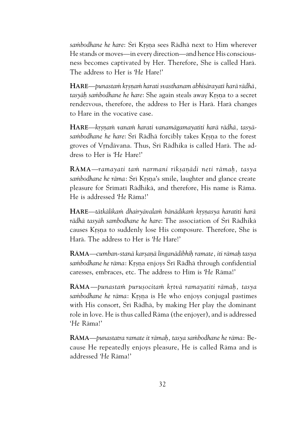sa*mbodhane he hare: Śrī Krsna sees Rādhā next to Him wherever* He stands or moves—in every direction—and hence His consciousness becomes captivated by Her. Therefore, She is called Harä. The address to Her is '*He* Hare!'

**HARE**—*punastaà kåñëaà harati svasthanam abhisärayaté harä rädhä,* tasyāḥ sambodhane he hare: She again steals away Krsņa to a secret rendezvous, therefore, the address to Her is Harä. Harä changes to Hare in the vocative case.

HARE—krsnam vanam harati vanamāgamayatīti harā rādhā, tasyāsambodhane he hare: Šrī Rādhā forcibly takes Krsna to the forest groves of Vrndävana. Thus, Śrī Rādhika is called Harā. The address to Her is '*He* Hare!'

**RAMA—***ramayati tam narmani riksanādi neti rāmah, tasya* sambodhane he rāma: Śrī Krsna's smile, laughter and glance create pleasure for Śrīmatī Rādhikā, and therefore, His name is Rāma. He is addressed '*He* Räma!'

**HARE—**tātkālikam dhairyāvalam bānādikam krsnasya haratīti harā *rädhä tasyäh sambodhane he hare*: The association of Çré Rädhikä causes Krsna to suddenly lose His composure. Therefore, She is Harä. The address to Her is '*He* Hare!'

**RÄMA**—*cumban-stanä karñaëä linganädibhiù ramate, iti rämaù tasya* sambodhane he rāma: Krsna enjoys Śrī Rādhā through confidential caresses, embraces, etc. The address to Him is '*He* Räma!'

**RÄMA***—punastaà puruñocitaà kåtvä ramayatéti rämaù, tasya* sambodhane he rāma: Krsņa is He who enjoys conjugal pastimes with His consort, Srī Rādhā, by making Her play the dominant role in love. He is thus called Räma (the enjoyer), and is addressed '*He* Räma!'

**RA***MA*—punastatra ramate it rāmah, tasya sambodhane he rāma: Because He repeatedly enjoys pleasure, He is called Räma and is addressed '*He* Räma!'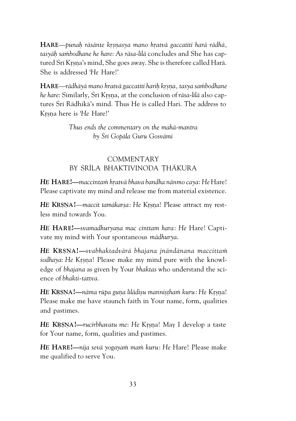**HARE—***punah rāsānte krsnasya mano hratvā gaccatīti harā rādhā, tasyäù saàbodhane he hare*: As *räsa-lélä* concludes and She has captured Śrī Krsna's mind, She goes away. She is therefore called Harā. She is addressed '*He* Hare!'

**HARE**—*rädhäyä mano hratvä gaccatéti hariù kåñëa, tasya saàbodhane he hare:* Similarly, Šrī Krsna, at the conclusion of *rāsa-līlā* also captures Śrī Rādhikā's mind. Thus He is called Hari. The address to Kåñëa here is '*He* Hare!'

> *Thus ends the commentary on the mahä-mantra by Çré Gopäla Guru Gosvämé*

#### **COMMENTARY** BY ŚRĪLA BHAKTIVINODA THĀKURA

*HE* **HARE!—***maccintaà håatvä bhava bandha nänmo caya*: *He* Hare! Please captivate my mind and release me from material existence.

**HE KRSNA!**—*maccit tamākarsa: He* Krsna! Please attract my restless mind towards You.

*HE* **HARE!—***svamadhuryaëa mac cinttam hara*: *He* Hare! Captivate my mind with Your spontaneous *mädhurya*.

*HE* **KÅÑËA!—***svabhaktadvärä bhajana jnändänana maccittaà* sodhaya: He Krsna! Please make my mind pure with the knowledge of *bhajana* as given by Your *bhaktas* who understand the science of *bhakti-tattva.*

*HE* **KRSNA!—***nāma rūpa guna līlādisu mannistham kuru: He* Krsna! Please make me have staunch faith in Your name, form, qualities and pastimes.

**HE KRSNA!—***rucirbhavatu me: He* Krsna! May I develop a taste for Your name, form, qualities and pastimes.

*HE* **HARE!—***nija sevä yogayaà maà kuru*: *He* Hare! Please make me qualified to serve You.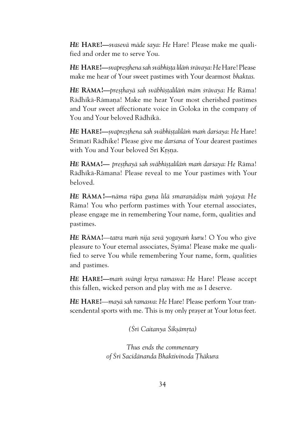*HE* **HARE!—***svasevä mäde çaya*: *He* Hare! Please make me qualified and order me to serve You.

*HE* **HARE!—***svapreñöhena sah sväbhéñöa léläà çrävaya*: *He* Hare!Please make me hear of Your sweet pastimes with Your dearmost *bhaktas*.

*HE* **RÄMA!—***preñöhayä sah sväbhéñöaléläà mäm çrävaya*: *He* Räma! Rädhikä-Rämana! Make me hear Your most cherished pastimes and Your sweet affectionate voice in Goloka in the company of You and Your beloved Rädhikä.

*HE* **HARE!—***ñvapreñöhena sah sväbhéñöaléläà maà darçaya*: *He* Hare! Śrīmatī Rādhike! Please give me *darśana* of Your dearest pastimes with You and Your beloved Śrī Krsna.

*HE* **RĀMA!—** *preșthayā sah svābhīṣṭalīlām mam̀ darśaya: He* Rāma! Rädhikä-Rämana! Please reveal to me Your pastimes with Your beloved.

*HE* **RAMA**<sup>*!—
nāma rūpa guna līlā smaranādisu mām yojaya: He*</sup> Räma! You who perform pastimes with Your eternal associates, please engage me in remembering Your name, form, qualities and pastimes.

HE RĀMA!—*tatra mam nija sevā yogayam kuru!* O You who give pleasure to Your eternal associates, Çyäma! Please make me qualified to serve You while remembering Your name, form, qualities and pastimes.

*HE* **HARE!—***maà svängé kåtya ramasva*: *He* Hare! Please accept this fallen, wicked person and play with me as I deserve.

*HE* **HARE!**—*mayä sah ramasva*: *He* Hare! Please perform Your transcendental sports with me. This is my only prayer at Your lotus feet.

*(Çré Caitanya Çikñämåta)*

*Thus ends the commentary of Çré Sacidänanda Bhaktivinoda Öhäkura*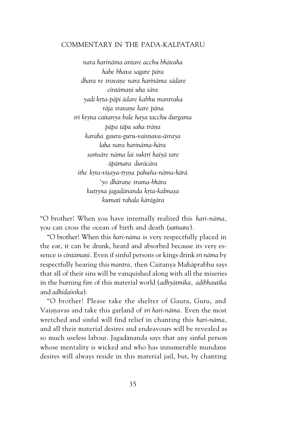#### COMMENTARY IN THE PADA-KALPATARU

*nara harinäma antare acchu bhävaha habe bhava sagare pära dhara re çravaëe nara harinäma sädare cintämaëi uha sära yadi kåta-päpi ädare kabhu mantraka räja çravaëe kare päna çré kåñna caitanya bale haya tacchu durgama pāpa tāpa saha trāna karaha gaura-guru-vaisëava-äçraya laha nara harinäma-hära saàsäre näma lai suktåi haiyä tare äpämara duräcära ithe kåta-viñaya-tåñëa pahuïa-näma-härä 'yo dhäraëe çrama-bhära kutåñna jagadänanda kåta-kalmaña kumati rahala kärägära*

"O brother! When you have internally realized this *hari-näma,* you can cross the ocean of birth and death (*saàsara*)*.*

"O brother! When this *hari-näma* is very respectfully placed in the ear, it can be drunk, heard and absorbed because its very essence is *cintämaëi.* Even if sinful persons or kings drink *çré näma* by respectfully hearing this *mantra,* then Caitanya Mahäprabhu says that all of their sins will be vanquished along with all the miseries in the burning fire of this material world (*adhyätmika, adibhautika* and *adhidaivika*).

"O brother! Please take the shelter of Gaura, Guru, and Vaisnavas and take this garland of *śrī hari-nāma*. Even the most wretched and sinful will find relief in chanting this *hari-näma,* and all their material desires and endeavours will be revealed as so much useless labour. Jagadänanda says that any sinful person whose mentality is wicked and who has innumerable mundane desires will always reside in this material jail, but, by chanting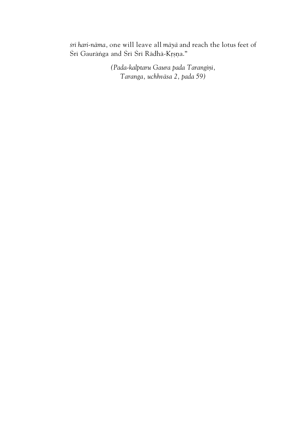*çré hari-näma,* one will leave all *mäyä* and reach the lotus feet of Śrī Gaurāṅga and Śrī Śrī Rādhā-Krṣṇa."

> *(Pada-kalptaru Gaura pada Tarangiëé, Taranga, uchhväsa 2, pada 59)*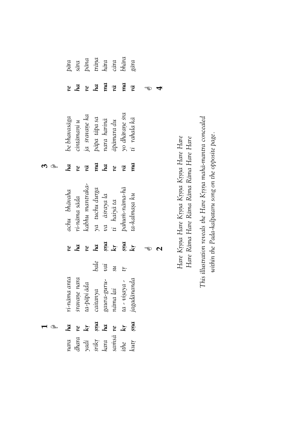|              |                | pāra<br>sāra<br>pāna<br>hāra<br>cāra         |                                               |             |                |                       | pāra          |    |                                                                                        |
|--------------|----------------|----------------------------------------------|-----------------------------------------------|-------------|----------------|-----------------------|---------------|----|----------------------------------------------------------------------------------------|
| re           | ha             | re                                           | ha                                            | ma          | ņā             | ma                    | ņā            | ಇಾ |                                                                                        |
| be bhavasāga | $\min$ āmaņi u | ja šravane ka<br>pāpa tāpa sa<br>nara harinā |                                               |             | āpāmara du     | yo dhārane śra        | ti rahala kā  |    |                                                                                        |
| ha           | re             | rā                                           | ma                                            | ha          | re             | rā                    | ma            |    |                                                                                        |
| achu bhāvaha | ri-nāma sāda   | <i>sabhu</i> mantraka-                       | ya tuchu durga<br>va āsraya la<br>ti haiyā ta |             |                | pahum-nāma-hā         | ta-kalmasa ku |    | Hare Krsna Hare Krsna Krsna Krsna Hare Hare<br>Hare Rāma Hare Rāma Rāma Rāma Hare Hare |
| re           | ha             | re                                           | ha                                            |             | sna<br>kr      | șna<br>kr             |               |    |                                                                                        |
|              |                |                                              | bale                                          | yai         | $\mathfrak{m}$ | tr.                   |               |    |                                                                                        |
| ri-nāma anta | sravane nara   | ta-pāpi āda                                  | caitanya                                      | gaura-guru- | nāma lai       | $\sim$ $no(2a)$ - $a$ | jagadānanda   |    |                                                                                        |
| ha           | re             | $\mathbf{k}$ r                               | șna<br>ha                                     |             |                | $\mathbf{k}$ r        | ma            |    |                                                                                        |
| nara         |                | dhara<br>yadi<br>śrīkṛ<br>kara               |                                               |             | samsā re       | ithe                  | kutr          |    |                                                                                        |

This illustration reveals the Hare Krsna mahā-mantra concealed *This illustration reveals the Hare Kåñëa mahä-mantra concealed* within the Pada-kalpataru song on the opposite page. *within the Pada-kalpataru song on the opposite page.*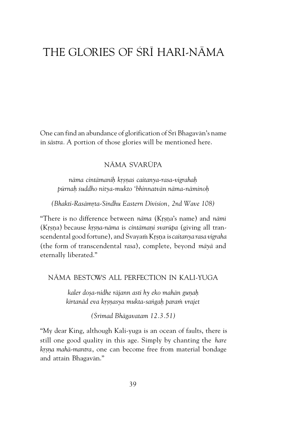### THE GLORIES OF ŚRĪ HARL-NĀMA

One can find an abundance of glorification of Śrī Bhagavān's name in *çästra.* A portion of those glories will be mentioned here.

#### NÄMA SVARÜPA

*näma cintämaniù kåñëaç caitanya-rasa-vigrahaù pürnaù çuddho nitya-mukto 'bhinnatvän näma-näminoù*

(Bhakti-Rasāmrta-Sindhu Eastern Division, 2nd Wave 108)

"There is no difference between *nāma* (Krsna's name) and *nāmī* (Krsna) because *krsna-nāma* is *cintāmani svarūpa* (giving all transcendental good fortune), and Svayam Krsna is *caitanya rasa vigraha* (the form of transcendental *rasa*), complete, beyond *mäyä* and eternally liberated."

#### NÄMA BESTOWS ALL PERFECTION IN KALI-YUGA

kaler dosa-nidhe rājann asti hy eko mahān gunah *kértanäd eva kåñëasya mukta-saìgaù paraà vrajet*

*(Çrémad Bhägavatam 12.3.51)*

"My dear King, although Kali-yuga is an ocean of faults, there is still one good quality in this age. Simply by chanting the *hare* krsna mahā-mantra, one can become free from material bondage and attain Bhagavän."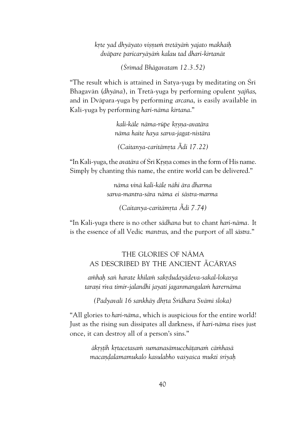*kåte yad dhyäyato viñëuà tretäyäà yajato makhaiù dväpare paricaryäyäà kalau tad dhari-kértanät*

*(Çrémad Bhägavatam 12.3.52)*

"The result which is attained in Satva-vuga by meditating on Śrī Bhagavän (*dhyäna*), in Tretä-yuga by performing opulent *yajïas*, and in Dväpara*-*yuga by performing *arcana*, is easily available in Kali-yuga by performing *hari-näma kértana*."

> *kali-käle näma-rüpe kåñëa-avatära näma haite haya sarva-jagat-nistära*

*(Caitanya-caritämåta Ãdi 17.22)*

"In Kali-yuga, the *avatära* of Çré Kåñëa comes in the form of His name. Simply by chanting this name, the entire world can be delivered."

> *näma vinä kali-käle nähi ära dharma sarva-mantra-sära näma ei çästra-marma*

> > *(Caitanya-caritämåta Ãdi 7.74)*

"In Kali-yuga there is no other *sädhana* but to chant *hari-näma.* It is the essence of all Vedic *mantras*, and the purport of all *çästra*."

> THE GLORIES OF NÄMA AS DESCRIBED BY THE ANCIENT ÃCÄRYAS

*aàhaù saì harate khilaà sakådudayädeva-sakal-lokasya* tarani riva timir-jalandhi jayati jaganmangalam harernāma

*(Padyavalé 16 sankhäy dhåta Çrédhara Svämé çloka)*

"All glories to *hari-näma*, which is auspicious for the entire world! Just as the rising sun dissipates all darkness, if *hari-näma* rises just once, it can destroy all of a person's sins."

> *äkåñöih kåtacetasaà sumanasämucchäöanaà cäàhasä macaëòalamamukalo kasulabho vaçyaçca mukti çriyaù*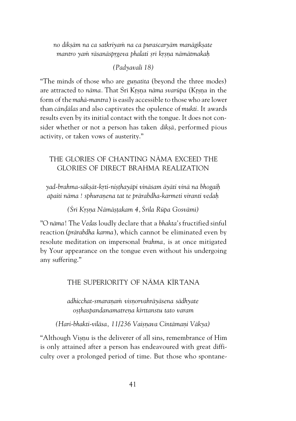*no dékñäm na ca satkriyaà na ca puraçcaryäm manägékñate* mantro yam rāsanāsprgeva phalati *srī krsna nāmātmakah* 

#### *(Padyavalé 18)*

"The minds of those who are *gunatita* (beyond the three modes) are attracted to *nāma*. That Šrī Krsna *nāma svarūpa* (Krsna in the form of the *mahä-mantra*) is easily accessible to those who are lower than *cāndālas* and also captivates the opulence of *mukti*. It awards results even by its initial contact with the tongue. It does not consider whether or not a person has taken *dékñä,* performed pious activity, or taken vows of austerity."

#### THE GLORIES OF CHANTING NÄMA EXCEED THE GLORIES OF DIRECT BRAHMA REALIZATION

*yad-brahma-säkñät-kåti-niñöhayäpi vinäçam äyäti vinä na bhogaiù apaiti näma ! sphuraëena tat te prärabdha-karmeti viranti vedaù*

*(Çré Kåñëa Nämäñöakam 4, Çréla Rüpa Gosvämé)*

"O *näma*! The *Vedas* loudly declare that a *bhakta's* fructified sinful reaction (*prärabdha karma*), which cannot be eliminated even by resolute meditation on impersonal *brahma,* is at once mitigated by Your appearance on the tongue even without his undergoing any suffering."

#### THE SUPERIORITY OF NÄMA KÉRTANA

*adhicchat-smaraëaà visëorvahräyäsena sädhyate oñöhaspandanamatreëa kirttanstu tato varam*

*(Hari-bhakti-viläsa, 11/236 Vaiñëava Cintämaëi Väkya)*

"Although Visnu is the deliverer of all sins, remembrance of Him is only attained after a person has endeavoured with great difficulty over a prolonged period of time. But those who spontane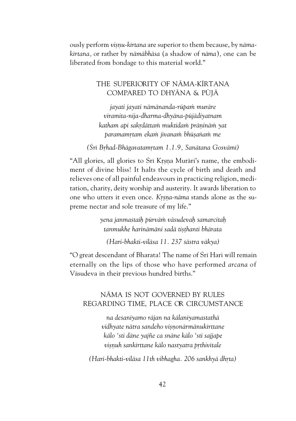ously perform *visnu-kirtana* are superior to them because, by *nāmakértana,* or rather by *nämäbhäsa* (a shadow of *näma*)*,* one can be liberated from bondage to this material world."

#### THE SUPERIORITY OF NÄMA-KÉRTANA COMPARED TO DHYÄNA & PÜJÄ

*jayati jayati nämänanda-rüpaà muräre viramita-nija-dharma-dhyäna-püjädiyatnam katham api sakådättaà muktidaà präëinäà yat paramamåtam ekaà jévanaà bhüñaìaà me*

*(Çré Båhad-Bhägavatamåtam 1.1.9, Sanätana Gosvämé)*

"All glories, all glories to Śrī Krsna Murāri's name, the embodiment of divine bliss! It halts the cycle of birth and death and relieves one of all painful endeavours in practicing religion, meditation, charity, deity worship and austerity. It awards liberation to one who utters it even once. *Krsna-nāma* stands alone as the supreme nectar and sole treasure of my life."

> *yena janmaçtaiù pürväà väsudevaù samarcitaù tanmukhe harinämäni sadä tiñöhanti bhärata*

*(Hari-bhakti-viläsa 11. 237 çästra väkya)*

"O great descendant of Bharata! The name of Śrī Hari will remain eternally on the lips of those who have performed *arcana* of Väsudeva in their previous hundred births."

#### NÄMA IS NOT GOVERNED BY RULES REGARDING TIME, PLACE OR CIRCUMSTANCE

*na deçaniyamo räjan na kälaniyamastathä vidhyate nätra sandeho viñëonärmänukérttane kälo 'sti däne yajïe ca snäne kälo 'sti sajjape viñëuh sankérttane kälo nastyatra påthivétale*

*(Hari-bhakti-vilāsa 11th vibhagha. 206 sankhyā dhrta)*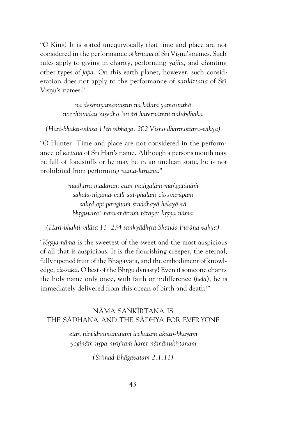"O King! It is stated unequivocally that time and place are not considered in the performance of *kirtana* of *Sri* Viṣṇu's names. Such rules apply to giving in charity, performing *yajïa*, and chanting other types of *japa.* On this earth planet, however, such consideration does not apply to the performance of *sankirtana* of Sri Visnu's names."

> *na deçaniyamastastin na kälani yamastathä nocchiñöadau niñedho 'sti çré harernämni nalubdhaka*

*(Hari-bhakti-viläsa 11th vibhäga. 202 Viñëo dharmottara-väkya)*

"O Hunter! Time and place are not considered in the performance of *kértana* of Çré Hari's name*.* Although a persons mouth may be full of foodstuffs or he may be in an unclean state, he is not prohibited from performing *näma-kértana*."

> *madhura madaram etan maìgaläm maìgalänäà sakala-nigama-vallé sat-phalaà cit-svarüpam sakåd api parigétaà çraddhayä helayä vä* bhrguvara! nara-mātram tārayet krsna nāma

*(Hari-bhakti-vilāsa 11. 234 sankyādhrta Skanda Purāna vakya)* 

"*Krsna-nāma* is the sweetest of the sweet and the most auspicious of all that is auspicious. It is the flourishing creeper, the eternal, fully ripened fruit of the Bhägavata, and the embodiment of knowledge, *cit-sakti*. O best of the Bhrgu dynasty! Even if someone chants the holy name only once, with faith or indifference (*helä*), he is immediately delivered from this ocean of birth and death!"

#### NĀMA SANKĪRTANA IS THE SÄDHANA AND THE SÄDHYA FOR EVERYONE

*etan nirvidyamänänäm icchatäm akuto-bhayam yoginäà nåpa nirëétaà harer nämänukértanam*

*(Çrémad Bhägavatam 2.1.11)*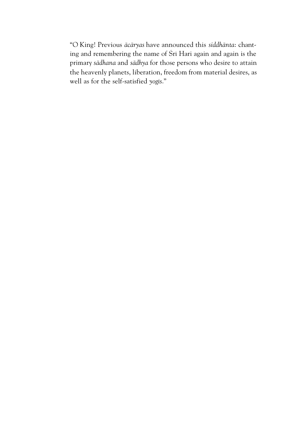"O King! Previous *äcäryas* have announced this *siddhänta*: chanting and remembering the name of Śrī Hari again and again is the primary *sädhana* and *sädhya* for those persons who desire to attain the heavenly planets, liberation, freedom from material desires, as well as for the self-satisfied *yogés*."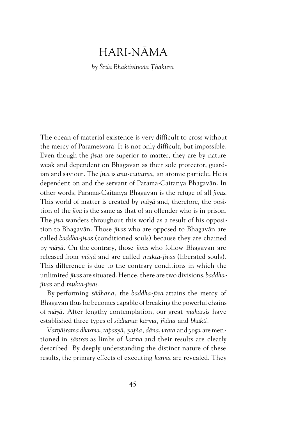### HARI-NÄMA

*by Çréla Bhaktivinoda Öhäkura*

The ocean of material existence is very difficult to cross without the mercy of Paramesvara. It is not only difficult, but impossible. Even though the *jévas* are superior to matter, they are by nature weak and dependent on Bhagavän as their sole protector, guardian and saviour. The *jéva* is *anu-caitanya,* an atomic particle. He is dependent on and the servant of Parama-Caitanya Bhagavän. In other words, Parama-Caitanya Bhagavän is the refuge of all *jévas*. This world of matter is created by *mäyä* and, therefore, the position of the *jéva* is the same as that of an offender who is in prison. The *jiva* wanders throughout this world as a result of his opposition to Bhagavän. Those *jévas* who are opposed to Bhagavän are called *baddha-jévas* (conditioned souls) because they are chained by *mäyä.* On the contrary, those *jévas* who follow Bhagavän are released from *mäyä* and are called *mukta-jévas* (liberated souls). This difference is due to the contrary conditions in which the unlimited *jévas* are situated. Hence, there are two divisions, *baddhajévas* and *mukta-jévas.*

By performing *sädhana,* the *baddha-jéva* attains the mercy of Bhagavän thus he becomes capable of breaking the powerful chains of *mäyä.* After lengthy contemplation, our great *maharñis* have established three types of *sädhana*: *karma, jïäna* and *bhakti.*

*Varëäçrama dharma*, *tapasyä, yajïa, däna*, *vrata* and *yoga* are mentioned in *çästras* as limbs of *karma* and their results are clearly described*.* By deeply understanding the distinct nature of these results, the primary effects of executing *karma* are revealed. They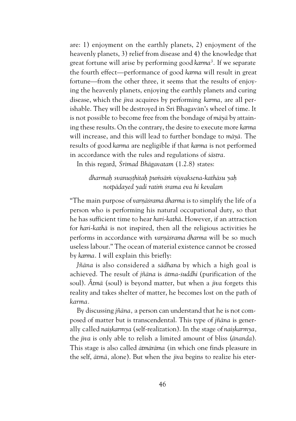are: 1) enjoyment on the earthly planets, 2) enjoyment of the heavenly planets, 3) relief from disease and 4) the knowledge that great fortune will arise by performing good *karma<sup>3</sup> .* If we separate the fourth effect—performance of good *karma* will result in great fortune—from the other three, it seems that the results of enjoying the heavenly planets, enjoying the earthly planets and curing disease, which the *jéva* acquires by performing *karma,* are all perishable. They will be destroyed in Śrī Bhagavān's wheel of time. It is not possible to become free from the bondage of *mäyä* by attaining these results. On the contrary, the desire to execute more *karma* will increase, and this will lead to further bondage to *mäyä.* The results of good *karma* are negligible if that *karma* is not performed in accordance with the rules and regulations of *çästra.*

In this regard, *Çrémad Bhägavatam* (1.2.8) states:

#### *dharmaù svanuñöhitaù puàsäà viñvaksena-kathäsu yaù notpädayed yadi ratià çrama eva hi kevalam*

"The main purpose of varnā *srama dharma* is to simplify the life of a person who is performing his natural occupational duty, so that he has sufficient time to hear *hari-kathä*. However, if an attraction for *hari-kathä* is not inspired, then all the religious activities he performs in accordance with *varnāśrama dharma* will be so much useless labour." The ocean of material existence cannot be crossed by *karma*. I will explain this briefly:

*Jïäna* is also considered a *sädhana* by which a high goal is achieved. The result of *jïäna* is *ätma-çuddhi* (purification of the soul). *Ãtmä* (soul) is beyond matter, but when a *jéva* forgets this reality and takes shelter of matter, he becomes lost on the path of *karma.*

By discussing *jïäna,* a person can understand that he is not composed of matter but is transcendental. This type of *jïäna* is generally called *naiskarmya* (self-realization). In the stage of *naiskarmya*, the *jéva* is only able to relish a limited amount of bliss (*änanda*). This stage is also called *ätmäräma* (in which one finds pleasure in the self, *ätmä,* alone). But when the *jéva* begins to realize his eter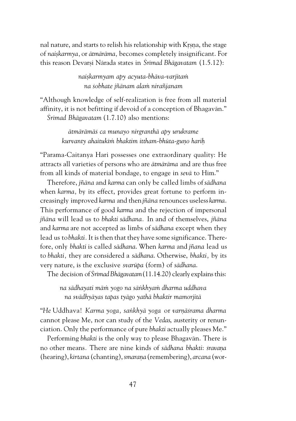nal nature, and starts to relish his relationship with Krsna, the stage of *naiskarmya*, or *ātmārāma*, becomes completely insignificant. For this reason Devarsi Nārada states in *Śrīmad Bhāgavatam* (1.5.12):

> *naiñkarmyam apy acyuta-bhäva-varjitaà na çobhate jïänam alaà niraïjanam*

"Although knowledge of self-realization is free from all material affinity, it is not befitting if devoid of a conception of Bhagavän." *Çrémad Bhägavatam* (1.7.10) also mentions:

> *ätmärämäç ca munayo nirgranthä apy urukrame kurvanty ahaitukéà bhaktim ittham-bhüta-guëo hariù*

"Parama-Caitanya Hari possesses one extraordinary quality: He attracts all varieties of persons who are *ätmäräma* and are thus free from all kinds of material bondage, to engage in *sevä* to Him."

Therefore, *jïäna* and *karma* can only be called limbs of *sädhana* when *karma,* by its effect, provides great fortune to perform increasingly improved *karma* and then *jïäna* renounces useless *karma*. This performance of good *karma* and the rejection of impersonal *jïäna* will lead us to *bhakti sädhana.* In and of themselves, *jïäna* and *karma* are not accepted as limbs of *sädhana* except when they lead us to *bhakti.* It is then that they have some significance. Therefore, only *bhakti* is called *sädhana*. When *karma* and *jïana* lead us to *bhakti,* they are considered a *sädhana*. Otherwise, *bhakti,* by its very nature, is the exclusive *svarüpa* (form) of *sädhana*.

The decision of *Çrémad Bhägavatam* (11.14.20) clearly explains this:

*na sädhayati mäà yogo na säìkhyaà dharma uddhava na svädhyäyas tapas tyägo yathä bhaktir mamorjitä*

"He Uddhava! *Karma yoga, sankhyā yoga or varnāśrama dharma* cannot please Me, nor can study of the *Vedas*, austerity or renunciation. Only the performance of pure *bhakti* actually pleases Me."

Performing *bhakti* is the only way to please Bhagavän. There is no other means*.* There are nine kinds of *sädhana bhakti*: *çravaëa* (hearing), *kértana* (chanting), *smaraëa* (remembering), *arcana* (wor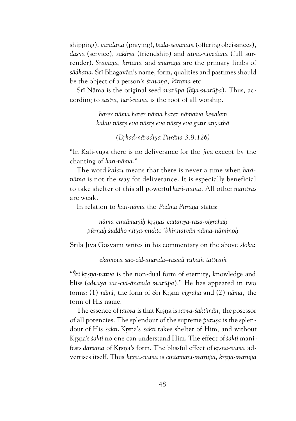shipping), *vandana* (praying), *päda-sevanam* (offering obeisances), *däsya* (service), *sakhya* (friendship) and *ätmä-nivedana* (full surrender). *Śravana, kirtana* and *smarana* are the primary limbs of *sädhana*. Çré Bhagavän's name, form, qualities and pastimes should be the object of a person's *śravana*, kirtana etc.

Çré Näma is the original seed *svarüpa* (*béja-svarüpa*). Thus, according to *çästra, hari-näma* is the root of all worship.

> *harer näma harer näma harer nämaiva kevalam kalau nästy eva nästy eva nästy eva gatir anyathä*

> > *(Båhad-näradiya Puräna 3.8.126)*

"In Kali-yuga there is no deliverance for the *jéva* except by the chanting of *hari-näma*."

The word *kalau* means that there is never a time when *harinäma* is not the way for deliverance. It is especially beneficial to take shelter of this all powerful *hari-näma*. All other *mantras* are weak.

In relation to *hari-nāma* the *Padma Purāna* states:

*näma cintämaëiù kåñëaç caitanya-rasa-vigrahaù pürëaù çuddho nitya-mukto 'bhinnatvän näma-näminoù*

Śrīla Jīva Gosvāmī writes in his commentary on the above *śloka*:

*ekameva sac-cid-änanda–rasädi rüpaà tattvaà*

"*Çré kåñëa-tattva* is the non-dual form of eternity, knowledge and bliss (*advaya sac-cid-änanda svarüpa*)." He has appeared in two forms: (1) *nämé*, the form of Çré Kåñëa *vigraha* and (2) *näma,* the form of His name.

The essence of *tattva* is that Krsna is *sarva-saktimān*, the posessor of all potencies. The splendour of the supreme *purusa* is the splendour of His *sakti*. Krsna's *sakti* takes shelter of Him, and without Krsna's *sakti* no one can understand Him. The effect of *sakti* manifests darsana of Krsna's form. The blissful effect of *krsna-näma* advertises itself. Thus *krsna-nāma* is *cintāmani-svarūpa*, *krsna-svarūpa*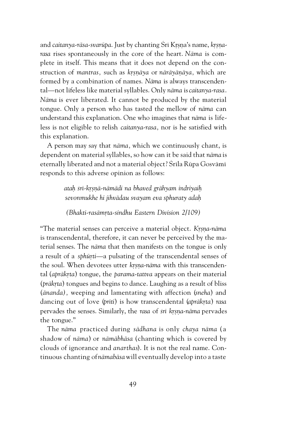and *caitanya-rāsa-svarūpa*. Just by chanting Śrī Krsna's name, *krsnarasa* rises spontaneously in the core of the heart. *Näma* is complete in itself. This means that it does not depend on the construction of *mantras*, such as *krsnāya* or *nārāyānāya*, which are formed by a combination of names*. Näma* is always transcendental—not lifeless like material syllables. Only *näma* is *caitanya-rasa*. *Näma* is ever liberated. It cannot be produced by the material tongue. Only a person who has tasted the mellow of *näma* can understand this explanation. One who imagines that *näma* is lifeless is not eligible to relish *caitanya-rasa,* nor is he satisfied with this explanation.

A person may say that *näma,* which we continuously chant, is dependent on material syllables, so how can it be said that *näma* is eternally liberated and not a material object? Śrīla Rūpa Gosvāmī responds to this adverse opinion as follows:

> *ataù çré-kåñëä-nämädi na bhaved grähyam indriyaiù sevonmukhe hi jihvädau svayam eva sphuraty adaù*

*(Bhakti-rasāmrta-sindhu Eastern Division 2/109)* 

"The material senses can perceive a material object. *Krsna-nāma* is transcendental, therefore, it can never be perceived by the material senses. The *näma* that then manifests on the tongue is only a result of a *sphūrti*—a pulsating of the transcendental senses of the soul. When devotees utter *krsna-näma* with this transcendental (*aprākrta*) tongue, the *parama-tattva* appears on their material (*prākrta*) tongues and begins to dance. Laughing as a result of bliss (*änanda),* weeping and lamentating with affection (*sneha*) and dancing out of love (*priti*) is how transcendental (*aprākrta*) rasa pervades the senses. Similarly, the *rasa* of *çré kåñëa-näma* pervades the tongue."

The *näma* practiced during *sädhana* is only *chaya näma* (a shadow of *näma*) or *nämäbhäsa* (chanting which is covered by clouds of ignorance and *anarthas*). It is not the real name. Continuous chanting of *nämabäsa* will eventually develop into a taste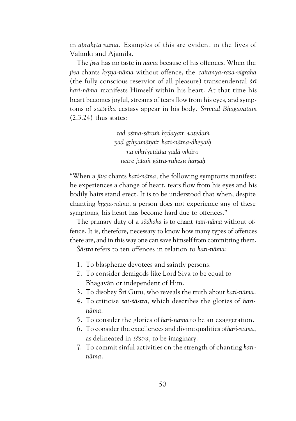in *aprākrta nāma.* Examples of this are evident in the lives of Vālmīki and Ajāmila.

The *jéva* has no taste in *näma* because of his offences. When the *jiva* chants *krsna-nāma* without offence, the *caitanya-rasa-vigraha* (the fully conscious reservior of all pleasure) transcendental *çré hari-näma* manifests Himself within his heart. At that time his heart becomes joyful, streams of tears flow from his eyes, and symptoms of *sättvika* ecstasy appear in his body. *Çrémad Bhägavatam* (2.3.24) thus states:

> *tad açma-säraà hådayaà vatedaà yad gåhyamäëair hari-näma-dheyaiù na vikriyetätha yadä vikäro netre jalaà gätra-ruheñu harñaù*

"When a *jéva* chants *hari-näma,* the following symptoms manifest: he experiences a change of heart, tears flow from his eyes and his bodily hairs stand erect. It is to be understood that when, despite chanting *krsna-nāma*, a person does not experience any of these symptoms, his heart has become hard due to offences."

The primary duty of a *sädhaka* is to chant *hari-näma* without offence. It is, therefore, necessary to know how many types of offences there are, and in this way one can save himself from committing them. *Çästra* refers to ten offences in relation to *hari-näma*:

- 1. To blaspheme devotees and saintly persons.
- 2. To consider demigods like Lord Śiva to be equal to Bhagavän or independent of Him.
- 3. To disobey Çré Guru, who reveals the truth about *hari-näma*.
- 4. To criticise *sat-çästra,* which describes the glories of *harinäma*.
- 5. To consider the glories of *hari-näma* to be an exaggeration.
- 6. To consider the excellences and divine qualities of *hari-näma*, as delineated in *çästra,* to be imaginary.
- 7. To commit sinful activities on the strength of chanting *harinäma.*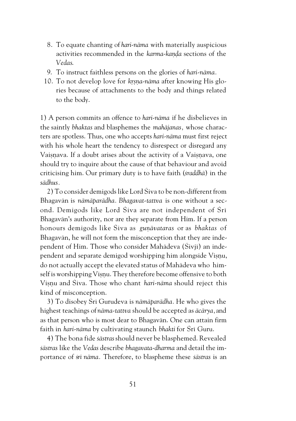- 8. To equate chanting of *hari-näma* with materially auspicious activities recommended in the *karma-kanda* sections of the *Vedas*.
- 9. To instruct faithless persons on the glories of *hari-näma.*
- 10. To not develop love for *krsna-nāma* after knowing His glories because of attachments to the body and things related to the body.

1) A person commits an offence to *hari-näma* if he disbelieves in the saintly *bhaktas* and blasphemes the *mahäjanas,* whose characters are spotless. Thus, one who accepts *hari-näma* must first reject with his whole heart the tendency to disrespect or disregard any Vaisnava. If a doubt arises about the activity of a Vaisnava, one should try to inquire about the cause of that behaviour and avoid criticising him. Our primary duty is to have faith (*çraddhä*) in the *sädhus.*

2) To consider demigods like Lord Çiva to be non-different from Bhagavän is *nämäparädha. Bhagavat-tattva* is one without a second. Demigods like Lord Śiva are not independent of Śrī Bhagavän's authority, nor are they separate from Him. If a person honours demigods like Çiva as *guëävataras* or as *bhaktas* of Bhagavän, he will not form the misconception that they are independent of Him. Those who consider Mahādeva (Śivjī) an independent and separate demigod worshipping him alongside Visnu, do not actually accept the elevated status of Mahädeva who himself is worshipping Visnu. They therefore become offensive to both Visnu and Śiva. Those who chant *hari-nāma* should reject this kind of misconception.

3) To disobey Çré Gurudeva is *nämäparädha.* He who gives the highest teachings of *näma-tattva* should be accepted as *äcärya,* and as that person who is most dear to Bhagavän. One can attain firm faith in *hari-näma* by cultivating staunch *bhakti* for Çré Guru.

4) The bona fide *çästras* should never be blasphemed. Revealed *çästras* like the *Vedas* describe *bhagavata-dharma* and detail the importance of ç*ré näma.* Therefore, to blaspheme these *çästras* is an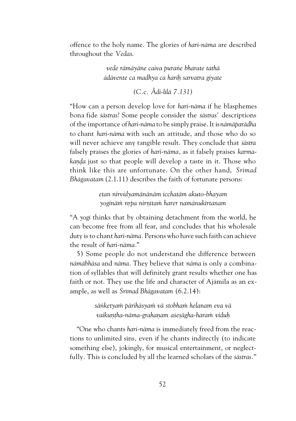offence to the holy name. The glories of *hari-näma* are described throughout the *Vedas*.

> *vede rämäyäne caiva puraìe bharate tathä ädävente ca madhya ca hariù sarvatra giyate*

> > *(C.c. Ãdi-lélä 7.131)*

"How can a person develop love for *hari-näma* if he blasphemes bona fide *çästras*? Some people consider the *çästras'* descriptions of the importance of *hari-näma* to be simply praise. It is *nämäparädha* to chant *hari-näma* with such an attitude, and those who do so will never achieve any tangible result. They conclude that *çästra* falsely praises the glories of *hari-näma,* as it falsely praises *karmakanda* just so that people will develop a taste in it. Those who think like this are unfortunate. On the other hand, *Çrémad Bhägavatam* (2.1.11) describes the faith of fortunate persons:

> *etan nirvidyamänänäm icchatäm akuto-bhayam yoginäà nåpa nirëétaà harer namänukértanam*

"A *yogé* thinks that by obtaining detachment from the world, he can become free from all fear, and concludes that his wholesale duty is to chant *hari-näma.* Persons who have such faith can achieve the result of *hari-näma.*"

5) Some people do not understand the difference between *nämäbhäsa* and *näma.* They believe that *näma* is only a combination of syllables that will definitely grant results whether one has faith or not. They use the life and character of Ajämila as an example, as well as *Çrémad Bhägavatam* (6.2.14):

> *säìketyaà pärihäsyaà vä stobhaà helanam eva vä* vaikuntha-nāma-grahanam asesāgha-haram viduh

"One who chants *hari-näma* is immediately freed from the reactions to unlimited sins*,* even if he chants indirectly (to indicate something else), jokingly, for musical entertainment, or neglectfully*.* This is concluded by all the learned scholars of the *çästras.*"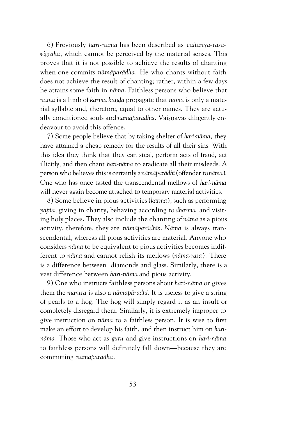6) Previously *hari-näma* has been described as *caitanya-rasavigraha,* which cannot be perceived by the material senses. This proves that it is not possible to achieve the results of chanting when one commits *nämäparädha.* He who chants without faith does not achieve the result of chanting; rather, within a few days he attains some faith in *näma.* Faithless persons who believe that *nāma* is a limb of *karma kānda* propagate that *nāma* is only a material syllable and, therefore, equal to other names. They are actually conditioned souls and *nāmāparādhīs*. Vaisnavas diligently endeavour to avoid this offence.

7) Some people believe that by taking shelter of *hari-näma,* they have attained a cheap remedy for the results of all their sins. With this idea they think that they can steal, perform acts of fraud, act illicitly, and then chant *hari-näma* to eradicate all their misdeeds. A person who believes this is certainly a *nämäparädhé* (offender to *näma*). One who has once tasted the transcendental mellows of *hari-näma* will never again become attached to temporary material activities.

8) Some believe in pious activities(*karma*), such as performing *yajïa,* giving in charity, behaving according to *dharma,* and visiting holy places. They also include the chanting of *näma* as a pious activity, therefore, they are *nämäparädhés. Näma* is always transcendental, whereas all pious activities are material. Anyone who considers *näma* to be equivalent to pious activities becomes indifferent to *näma* and cannot relish its mellows (*näma-rasa*)*.* There is a difference between diamonds and glass. Similarly, there is a vast difference between *hari-näma* and pious activity.

9) One who instructs faithless persons about *hari-näma* or gives them the *mantra* is also a *nämapäradhi*. It is useless to give a string of pearls to a hog. The hog will simply regard it as an insult or completely disregard them. Similarly, it is extremely improper to give instruction on *näma* to a faithless person. It is wise to first make an effort to develop his faith, and then instruct him on *harinäma*. Those who act as *guru* and give instructions on *hari-näma* to faithless persons will definitely fall down—because they are committing *nämäparädha.*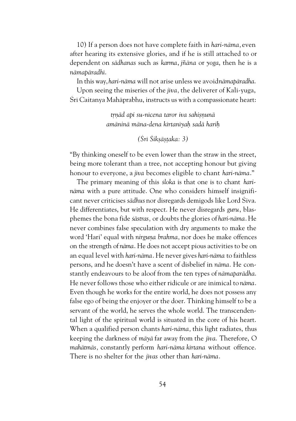10) If a person does not have complete faith in *hari-näma,* even after hearing its extensive glories, and if he is still attached to or dependent on *sädhanas* such as *karma*, *jïäna* or *yoga*, then he is a *nämapäradhé*.

In this way, *hari-nāma* will not arise unless we avoid *nāma pāradha*.

Upon seeing the miseries of the *jéva,* the deliverer of Kali-yuga, Śrī Caitanya Mahāprabhu, instructs us with a compassionate heart:

> *trnād api su-nīcena taror iva sahisnunā amäninä mäna-dena kértanéyaù sadä hariù*

> > *(Çré Çikñäñöaka: 3)*

"By thinking oneself to be even lower than the straw in the street, being more tolerant than a tree, not accepting honour but giving honour to everyone, a *jéva* becomes eligible to chant *hari-näma*."

The primary meaning of this *çloka* is that one is to chant *harinäma* with a pure attitude. One who considers himself insignificant never criticises *sädhus* nor disregards demigods like Lord Çiva. He differentiates, but with respect. He never disregards *guru*, blasphemes the bona fide *çästras,* or doubts the glories of *hari-näma*. He never combines false speculation with dry arguments to make the word 'Hari' equal with *nirguna brahma*, nor does he make offences on the strength of *näma*. He does not accept pious activities to be on an equal level with *hari-näma*. He never gives *hari-näma* to faithless persons, and he doesn't have a scent of disbelief in *näma.* He constantly endeavours to be aloof from the ten types of *nämaparädha*. He never follows those who either ridicule or are inimical to *näma*. Even though he works for the entire world, he does not possess any false ego of being the enjoyer or the doer. Thinking himself to be a servant of the world, he serves the whole world. The transcendental light of the spiritual world is situated in the core of his heart. When a qualified person chants *hari-näma,* this light radiates, thus keeping the darkness of *mäyä* far away from the *jéva*. Therefore, O *mahätmäs,* constantly perform *hari-näma kértana* without offence. There is no shelter for the *jévas* other than *hari-näma*.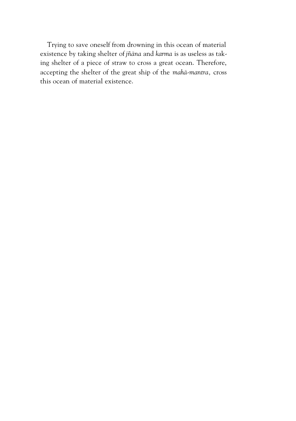Trying to save oneself from drowning in this ocean of material existence by taking shelter of *jïäna* and *karma* is as useless as taking shelter of a piece of straw to cross a great ocean. Therefore, accepting the shelter of the great ship of the *mahä-mantra,* cross this ocean of material existence.